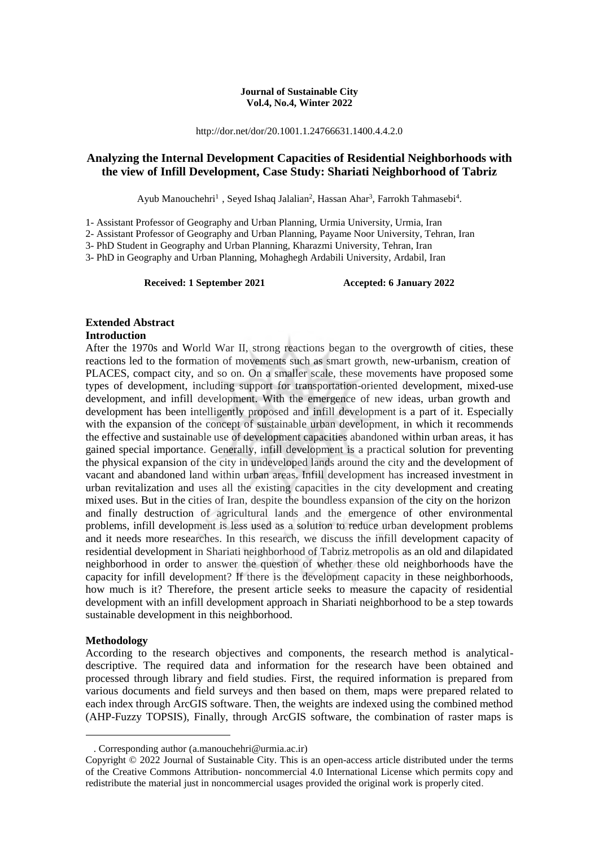### **Journal of Sustainable City Vol.4, No.4, Winter 2022**

http://dor.net/dor/20.1001.1.24766631.1400.4.4.2.0

### **Analyzing the Internal Development Capacities of Residential Neighborhoods with the view of Infill Development, Case Study: Shariati Neighborhood of Tabriz**

Ayub Manouchehri<sup>1</sup>, Seyed Ishaq Jalalian<sup>2</sup>, Hassan Ahar<sup>3</sup>, Farrokh Tahmasebi<sup>4</sup>.

1- Assistant Professor of Geography and Urban Planning, Urmia University, Urmia, Iran

2- Assistant Professor of Geography and Urban Planning, Payame Noor University, Tehran, Iran

3- PhD Student in Geography and Urban Planning, Kharazmi University, Tehran, Iran

3- PhD in Geography and Urban Planning, Mohaghegh Ardabili University, Ardabil, Iran

Received: 1 September 2021 **Accepted: 6 January 2022** 

## **Extended Abstract**

### **Introduction**

After the 1970s and World War II, strong reactions began to the overgrowth of cities, these reactions led to the formation of movements such as smart growth, new-urbanism, creation of PLACES, compact city, and so on. On a smaller scale, these movements have proposed some types of development, including support for transportation-oriented development, mixed-use development, and infill development. With the emergence of new ideas, urban growth and development has been intelligently proposed and infill development is a part of it. Especially with the expansion of the concept of sustainable urban development, in which it recommends the effective and sustainable use of development capacities abandoned within urban areas, it has gained special importance. Generally, infill development is a practical solution for preventing the physical expansion of the city in undeveloped lands around the city and the development of vacant and abandoned land within urban areas. Infill development has increased investment in urban revitalization and uses all the existing capacities in the city development and creating mixed uses. But in the cities of Iran, despite the boundless expansion of the city on the horizon and finally destruction of agricultural lands and the emergence of other environmental problems, infill development is less used as a solution to reduce urban development problems and it needs more researches. In this research, we discuss the infill development capacity of residential development in Shariati neighborhood of Tabriz metropolis as an old and dilapidated neighborhood in order to answer the question of whether these old neighborhoods have the capacity for infill development? If there is the development capacity in these neighborhoods, how much is it? Therefore, the present article seeks to measure the capacity of residential development with an infill development approach in Shariati neighborhood to be a step towards sustainable development in this neighborhood.

### **Methodology**

1

According to the research objectives and components, the research method is analyticaldescriptive. The required data and information for the research have been obtained and processed through library and field studies. First, the required information is prepared from various documents and field surveys and then based on them, maps were prepared related to each index through ArcGIS software. Then, the weights are indexed using the combined method (AHP-Fuzzy TOPSIS), Finally, through ArcGIS software, the combination of raster maps is

<sup>.</sup> Corresponding author (a.manouchehri@urmia.ac.ir)

Copyright © 2022 Journal of Sustainable City. This is an open-access article distributed under the terms of the Creative Commons Attribution- noncommercial 4.0 International License which permits copy and redistribute the material just in noncommercial usages provided the original work is properly cited.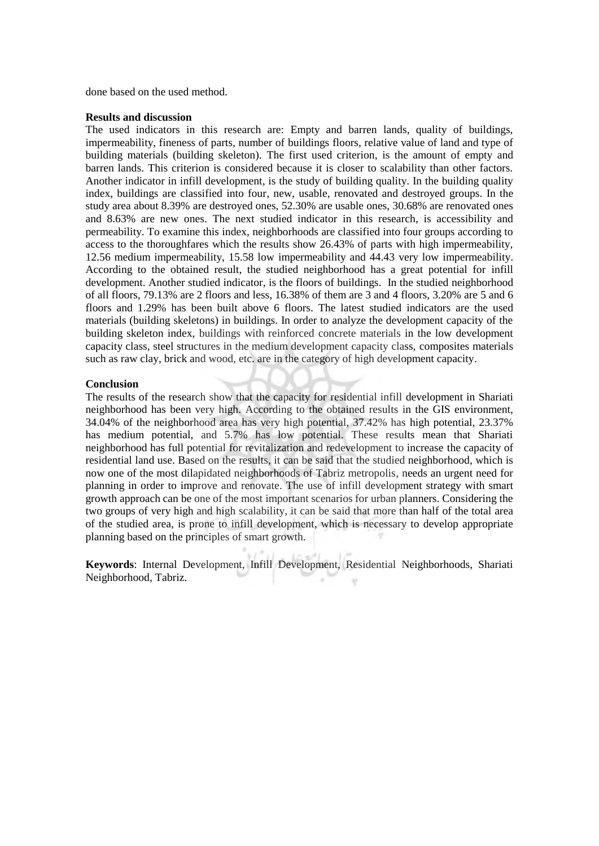done based on the used method.

### **Results and discussion**

The used indicators in this research are: Empty and barren lands, quality of buildings, impermeability, fineness of parts, number of buildings floors, relative value of land and type of building materials (building skeleton). The first used criterion, is the amount of empty and barren lands. This criterion is considered because it is closer to scalability than other factors. Another indicator in infill development, is the study of building quality. In the building quality index, buildings are classified into four, new, usable, renovated and destroyed groups. In the study area about 8.39% are destroyed ones, 52.30% are usable ones, 30.68% are renovated ones and 8.63% are new ones. The next studied indicator in this research, is accessibility and permeability. To examine this index, neighborhoods are classified into four groups according to access to the thoroughfares which the results show 26.43% of parts with high impermeability, 12.56 medium impermeability, 15.58 low impermeability and 44.43 very low impermeability. According to the obtained result, the studied neighborhood has a great potential for infill development. Another studied indicator, is the floors of buildings. In the studied neighborhood of all floors, 79.13% are 2 floors and less, 16.38% of them are 3 and 4 floors, 3.20% are 5 and 6 floors and 1.29% has been built above 6 floors. The latest studied indicators are the used materials (building skeletons) in buildings. In order to analyze the development capacity of the building skeleton index, buildings with reinforced concrete materials in the low development capacity class, steel structures in the medium development capacity class, composites materials such as raw clay, brick and wood, etc. are in the category of high development capacity.

### **Conclusion**

The results of the research show that the capacity for residential infill development in Shariati neighborhood has been very high. According to the obtained results in the GIS environment, 34.04% of the neighborhood area has very high potential, 37.42% has high potential, 23.37% has medium potential, and 5.7% has low potential. These results mean that Shariati neighborhood has full potential for revitalization and redevelopment to increase the capacity of residential land use. Based on the results, it can be said that the studied neighborhood, which is now one of the most dilapidated neighborhoods of Tabriz metropolis, needs an urgent need for planning in order to improve and renovate. The use of infill development strategy with smart growth approach can be one of the most important scenarios for urban planners. Considering the two groups of very high and high scalability, it can be said that more than half of the total area of the studied area, is prone to infill development, which is necessary to develop appropriate planning based on the principles of smart growth.

**Keywords**: Internal Development, Infill Development, Residential Neighborhoods, Shariati Neighborhood, Tabriz.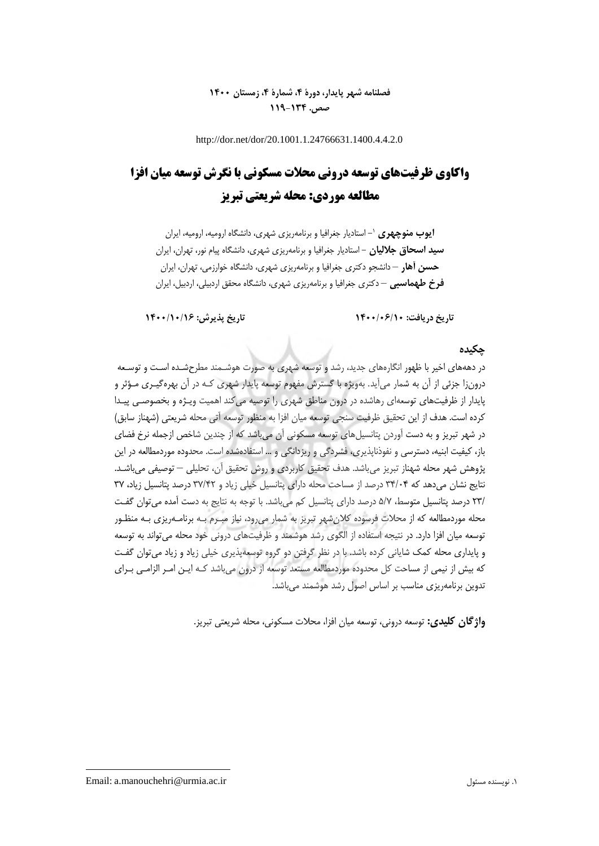## **فصلنامه شهر پایدار، دورۀ ،4 شمارۀ ،4 زمستان 1400 صص. 119-134**

http://dor.net/dor/20.1001.1.24766631.1400.4.4.2.0

# **واکاوی ظرفیتهای توسعه درونی محالت مسکونی با نگرش توسعه میان افزا مطالعه موردی: محله شریعتی تبریز**

**ایوب منوچهری**  - استادیار جغرافیا و برنامهریزی شهری، دانشگاه ارومیه، ارومیه، ایران <sup>0</sup> **سید اسحاق جاللیان** - استادیار جغرافیا و برنامهریزی شهری، دانشگاه پیام نور، تهران، ایران **حسن آهار** – دانشجو دکتری جغرافیا و برنامهریزی شهری، دانشگاه خوارزمی، تهران، ایران **فرخ طهماسبی** – دکتری جغرافیا و برنامهریزی شهری، دانشگاه محقق اردبیلی، اردبیل، ایران

**تاریخ دریافت: 1400/06/10 تاریخ پذیرش: 1400/10/16**

### **چکیده**

در دهههای اخیر با ظهور انگارههای جدید، رشد و توسعه شهری به صورت هوشـمند مطرحشـده اسـت و توسـعه درونزا جزئی از آن به شمار میآید. بهویژه با گسترش مفهوم توسعه پایدار شهری کـه در آن بهرهگیـری مـؤثر و پایدار از ظرفیتهای توسعهای رهاشده در درون مناطق شهری را توصیه میکند اهمیت ویـژه و بخصوصـی پیـدا کرده است. هدف از این تحقیق ظرفیت سنجی توسعه میان افزا به منظور توسعه آتی محله شریعتی )شهناز سابق( در شهر تبریز و به دست آوردن پتانسیلهای توسعه مسکونی آن میباشد که از چندین شاخص ازجمله نرخ فضای باز، کیفیت ابنیه، دسترسی و نفوذناپذیری، فشردگی و ریزدانگی و ... استفادهشده است. محدوده موردمطالعه در این پژوهش شهر محله شهناز تبریز میباشد. هدف تحقیق کاربردی و روش تحقیق آن، تحلیلی – توصیفی میباشـد. نتایج نشان میدهد که 31/11 درصد از مساحت محله دارای پتانسیل خیلی زیاد و 37/15 درصد پتانسیل زیاد، 37 ۲۳٪ درصد پتانسیل متوسط، ۵/۷ درصد دارای پتانسیل کم میباشد. با توجه به نتایج به دست آمده میتوان گفت محله موردمطالعه که از محالت فرسوده کالنشهر تبریز به شمار میرود، نیاز مبـرم بـه برنامـهریزی بـه منظـور توسعه میان افزا دارد. در نتیجه استفاده از الگوی رشد هوشمند و ظرفیتهای درونی خود محله میتواند به توسعه و پایداری محله کمک شایانی کرده باشد. با در نظر گرفتن دو گروه توسعهپذیری خیلی زیاد و زیاد میتوان گفـت که بیش از نیمی از مساحت کل محدوده موردمطالعه مستعد توسعه از درون میباشد کـه ایـن امـر الزامـی بـرای تدوین برنامهریزی مناسب بر اساس اصول رشد هوشمند میباشد.

**واژگان کلیدی:** توسعه درونی، توسعه میان افزا، محالت مسکونی، محله شریعتی تبریز.

Email: a.manouchehri@urmia.ac.ir مسئول نویسنده .0

**.**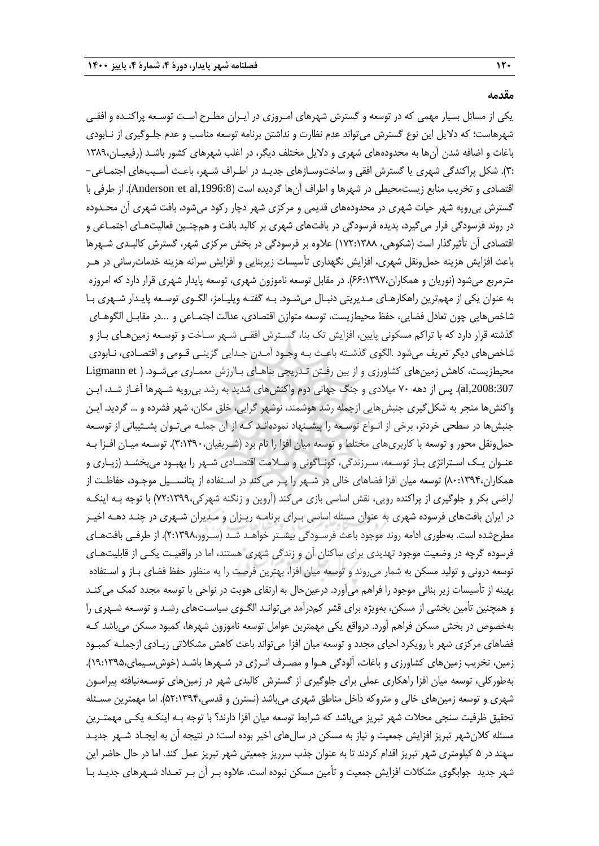**مقدمه**

یکی از مسائل بسیار مهمی که در توسعه و گسترش شهرهای امـروزی در ایـران مطـرح اسـت توسـعه پراکنـده و افقـی شهرهاست؛ که دالیل این نوع گسترش میتواند عدم نظارت و نداشتن برنامه توسعه مناسب و عدم جلـوگیری از نـابودی باغات و اضافه شدن آنها به محدودههای شهری و دالیل مختلف دیگر، در اغلب شهرهای کشور باشـد )رفیعیـان0313، 3:(. شکل پراکندگی شهری یا گسترش افقی و ساختوسـازهای جدیـد در اطـراف شـهر، باعـ آسـیبهای اجتمـاعی- اقتصادی و تخریب منابع زیستمحیطی در شهرها و اطراف آنها گردیده است (Anderson et al,1996:8). از طرفی با گسترش بیرویه شهر حیات شهری در محدودههای قدیمی و مرکزی شهر دچار رکود میشود، بافت شهری آن محـدوده در روند فرسودگی قرار میگیرد، پدیده فرسودگی در بافتهای شهری بر کالبد بافت و همچنـین فعالیتهـای اجتمـاعی و اقتصادی آن تأثیرگذار است )شکوهی، 075:0311( عالوه بر فرسودگی در بخش مرکزی شهر، گسترش کالبـدی شـهرها باعث افزایش هزینه حملeنقل شهری، افزایش نگهداری تأسیسات زیربنایی و افزایش سرانه هزینه خدماترسانی در هـر مترمربع میشود )نوریان و همکاران11:0337،(. در مقابل توسعه ناموزون شهری، توسعه پایدار شهری قرار دارد که امروزه به عنوان یکی از مهمترین راهکارهـای مـدیریتی دنبـال میشـود. بـه گفتـه ویلیـامز، الگـوی توسـعه پایـدار شـهری بـا شاخصهایی چون تعادل فضایی، حفظ محیطزیست، توسعه متوازن اقتصادی، عدالت اجتمـاعی و ...در مقابـل الگوهـای گذشته قرار دارد که با تراکم مسکونی پایین، افزایش تک بنا، گسـترش افقـی شـهر سـاخت و توسـعه زمینهـای بـاز و شاخصهای دیگر تعریف میشود .الگوی گذشـته باعـث بـه وجـود آمـدن جـدایی گزینـی قـومی و اقتصـادی، نـابودی محیطزیست، کاهش زمینهای کشاورزی و از بین رفتن تـدریجی بناهـای بـاارزش معمـاری میشـود. ( Ligmann et ,2008:307al). پس از دهه 71 میالدی و جنگ جهانی دوم واکنشهای شدید به رشد بیرویه شـهرها آغـاز شـد، ایـن واکنشها منجر به شکلگیری جنبشهایی ازجمله رشد هوشمند، نوشهر گرایی، خلق مکان، شهر فشرده و ... گردید. ایـن جنبشها در سطحی خردتر، برخی از انـواع توسـعه را پیشـنهاد نمودهانـد کـه از آن جملـه میتـوان پشـتیبانی از توسـعه حمل ونقل محور و توسعه با کاربری های مختلط و توسعه میان افزا را نام برد (شـریفیان،۳۹۰۰،(۳:۱۳۹۰). توسـعه میـان افـزا بـه عنـوان یـک اسـتراتژی بـاز توسـعه، سـرزندگی، گونـاگونی و سـالمت اقتصـادی شـهر را بهبـود میبخشـد )زیـاری و همکاران11:0331،( توسعه میان افزا فضاهای خالی در شـهر را پـر میکند در اسـتفاده از پتانســیل موجـود، حفاظـت از اراضی بکر و جلوگیری از پراکنده رویی، نقش اساسی بازی میکند (آروین و زنگنه شهرکی،۷۲:۱۳۹۹) با توجه بـه اینکـه در ایران بافتهای فرسوده شهری به عنوان مسئله اساسی بـرای برنامـه ریـزان و مـدیران شـهری در چنـد دهـه اخیـر مطرحشده است. بهطوری ادامه روند موجود باعث فرسـودگی بیشـتر خواهـد شـد (سـرور،٢:١٣٩٨). از طرفـی بافتهـای فرسوده گرچه در وضعیت موجود تهدیدی برای ساکنان آن و زندگی شهری هستند، اما در واقعیـت یکـی از قابلیتهـای توسعه درونی و تولید مسکن به شمار میروند و توسعه میان افزا، بهترین فرصت را به منظور حفظ فضای بـاز و اسـتفاده بهینه از تأسیسات زیر بنائی موجود را فراهم میآورد. درعینحال به ارتقای هویت در نواحی با توسعه مجدد کمک میکنـد و هم نین تأمین بخشی از مسکن، بهویژه برای قشر کمدرآمد میتوانـد الگـوی سیاسـتهای رشـد و توسـعه شـهری را بهخصوص در بخش مسکن فراهم آورد. درواقع یکی مهمترین عوامل توسعه ناموزون شهرها، کمبود مسکن میباشد کـه فضاهای مرکزی شهر با رویکرد احیای مجدد و توسعه میان افزا می تواند باعث کاهش مشکلاتی زیـادی ازجملـه کمبـود زمین، تخریب زمینهای کشاورزی و باغات، آلودگی هـوا و مصـرف انـرژی در شـهرها باشـد (خوشسـیمای،۱۳۹۵،۵٪). بهطورکلی، توسعه میان افزا راهکاری عملی برای جلوگیری از گسترش کالبدی شهر در زمینهای توسـعهنیافته پیرامـون شهری و توسعه زمینهای خالی و متروکه داخل مناطق شهری میباشد (نسترن و قدسی،۵۲:۱۳۹۴). اما مهمترین مسـئله تحقیق ظرفیت سنجی محلات شهر تبریز میباشد که شرایط توسعه میان افزا دارند؟ با توجه بـه اینکـه یکـی مهمتـرین مسئله کالنشهر تبریز افزایش جمعیت و نیاز به مسکن در سالهای اخیر بوده است؛ در نتیجه آن به ایجـاد شـهر جدیـد سهند در 2 کیلومتری شهر تبریز اقدام کردند تا به عنوان جذب سرریز جمعیتی شهر تبریز عمل کند. اما در حال حاضر این شهر جدید جوابگوی مشکالت افزایش جمعیت و تأمین مسکن نبوده است. عالوه بـر آن بـر تعـداد شـهرهای جدیـد بـا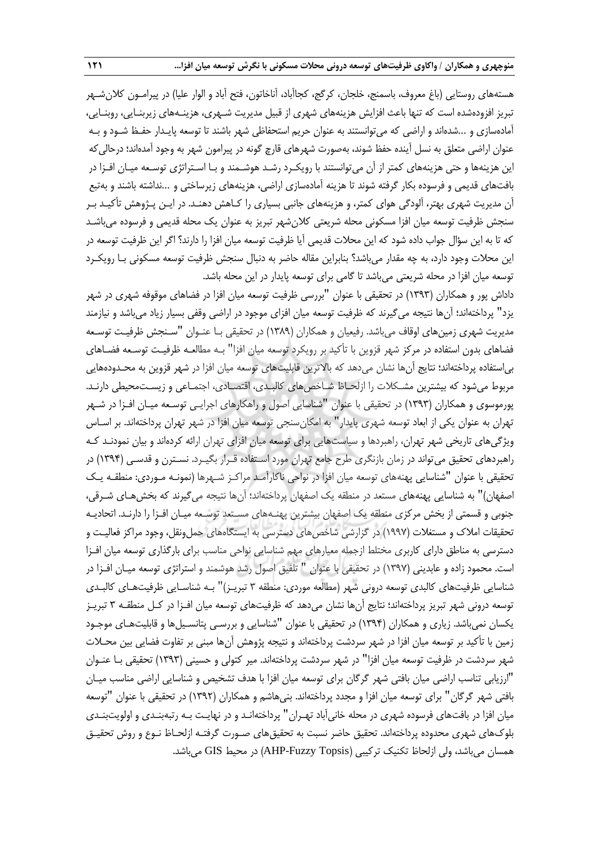هستههای روستایی (باغ معروف، باسمنج، خلجان، کرگج، کجاآباد، آناخاتون، فتح آباد و الوار علیا) در پیرامـون کلان شـهر تبریز افزودهشده است که تنها باعث افزایش هزینههای شهری از قبیل مدیریت شـهری، هزینـههای زیربنـایی، روبنـایی، آمادهسازی و ...شدهاند و اراضی که میتوانستند به عنوان حریم استحفاظی شهر باشند تا توسعه پایـدار حفـظ شـود و بـه عنوان اراضی متعلق به نسل آینده حفظ شوند، بهصورت شهرهای قارچ گونه در پیرامون شهر به وجود آمدهاند؛ درحالیکه این هزینهها و حتی هزینههای کمتر از آن میتوانستند با رویکـرد رشـد هوشـمند و بـا اسـتراتژی توسـعه میـان افـزا در بافتهای قدیمی و فرسوده بکار گرفته شوند تا هزینه آمادهسازی اراضی، هزینههای زیرساختی و ...نداشته باشند و بهتبع آن مدیریت شهری بهتر، آلودگی هوای کمتر، و هزینههای جانبی بسیاری را کـاهش دهنـد. در ایـن پـژوهش تأکیـد بـر سنجش ظرفیت توسعه میان افزا مسکونی محله شریعتی کالنشهر تبریز به عنوان یک محله قدیمی و فرسوده میباشـد که تا به این سؤال جواب داده شود که این محالت قدیمی آیا ظرفیت توسعه میان افزا را دارند؟ اگر این ظرفیت توسعه در این محالت وجود دارد، به چه مقدار میباشد؟ بنابراین مقاله حاضر به دنبال سنجش ظرفیت توسعه مسکونی بـا رویکـرد توسعه میان افزا در محله شریعتی میباشد تا گامی برای توسعه پایدار در این محله باشد.

داداش پور و همکاران )0333( در تحقیقی با عنوان "بررسی ظرفیت توسعه میان افزا در فضاهای موقوفه شهری در شهر یزد" پرداختهاند؛ آنها نتیجه میگیرند که ظرفیت توسعه میان افزای موجود در اراضی وقفی بسیار زیاد میباشد و نیازمند مدیریت شهری زمینهای اوقاف میباشد. رفیعیان و همکاران )0313( در تحقیقی بـا عنـوان "سـنجش ظرفیـت توسـعه فضاهای بدون استفاده در مرکز شهر قزوین با تأکید بر رویکرد توسعه میان افزا" بـه مطالعـه ظرفیـت توسـعه فضـاهای بیاستفاده پرداختهاند؛ نتایج آنها نشان میدهد که باالترین قابلیتهای توسعه میان افزا در شهر قزوین به محـدودههایی مربوط میشود که بیشترین مشـکالت را ازلحـاظ شـاخصهای کالبـدی، اقتصـادی، اجتمـاعی و زیسـتمحیطی دارنـد. پورموسوی و همکاران )0333( در تحقیقی با عنوان "شناسایی اصول و راهکارهای اجرایـی توسـعه میـان افـزا در شـهر تهران به عنوان یکی از ابعاد توسعه شهری پایدار" به امکانسنجی توسعه میان افزا در شهر تهران پرداختهاند. بر اسـاس ویژگیهای تاریخی شهر تهران، راهبردها و سیاستهایی برای توسعه میان افزای تهران ارائه کردهاند و بیان نمودنـد کـه راهبردهای تحقیق میتواند در زمان بازنگری طرح جامع تهران مورد اسـتفاده قـرار بگیـرد. نسـترن و قدسـی )0331( در تحقیقی با عنوان "شناسایی پهنههای توسعه میان افزا در نواحی ناکارآمـد مراکـز شـهرها )نمونـه مـوردی: منطقـه یـک اصفهان)" به شناسایی پهنههای مستعد در منطقه یک اصفهان پرداختهاند؛ آنها نتیجه میگیرند که بخشهـای شـرقی، جنوبی و قسمتی از بخش مرکزی منطقه یک اصفهان بیشترین پهنـههای مسـتعد توسـعه میـان افـزا را دارنـد. اتحادیـه تحقیقات امالك و مستغالت )0337( در گزارشی شاخصهای دسترسی به ایستگاههای حملونقل، وجود مراکز فعالیـت و دسترسی به مناطق دارای کاربری مختلط ازجمله معیارهای مهم شناسایی نواحی مناسب برای بارگذاری توسعه میان افـزا است. محمود زاده و عابدینی )0337( در تحقیقی با عنوان " تلفیق اصول رشد هوشمند و استراتژی توسعه میـان افـزا در شناسایی ظرفیتهای کالبدی توسعه درونی شهر )مطالعه موردی: منطقه 3 تبریـز(" بـه شناسـایی ظرفیتهـای کالبـدی توسعه درونی شهر تبریز پرداختهاند؛ نتایج آنها نشان میدهد که ظرفیتهای توسعه میان افـزا در کـل منطقـه 3 تبریـز یکسان نمیباشد. زیاری و همکاران )0331( در تحقیقی با عنوان "شناسایی و بررسـی پتانسـیلها و قابلیتهـای موجـود زمین با تأکید بر توسعه میان افزا در شهر سردشت پرداختهاند و نتیجه پژوهش آنها مبنی بر تفاوت فضایی بین محـالت شهر سردشت در ظرفیت توسعه میان افزا" در شهر سردشت پرداختهاند. میر کتولی و حسینی )0333( تحقیقی بـا عنـوان "ارزیابی تناسب اراضی میان بافتی شهر گرگان برای توسعه میان افزا با هدف تشخیص و شناسایی اراضی مناسب میـان بافتی شهر گرگان" برای توسعه میان افزا و مجدد پرداختهاند. بنیهاشم و همکاران )0335( در تحقیقی با عنوان "توسعه میان افزا در بافتهای فرسوده شهری در محله خانیآباد تهـران" پرداختهانـد و در نهایـت بـه رتبهبنـدی و اولویتبنـدی بلوكهای شهری محدوده پرداختهاند. تحقیق حاضر نسبت به تحقیقهای صـورت گرفتـه ازلحـاظ نـوع و روش تحقیـق همسان میباشد، ولی ازلحاظ تکنیک ترکیبی (AHP-Fuzzy Topsis) در محیط GIS میباشد.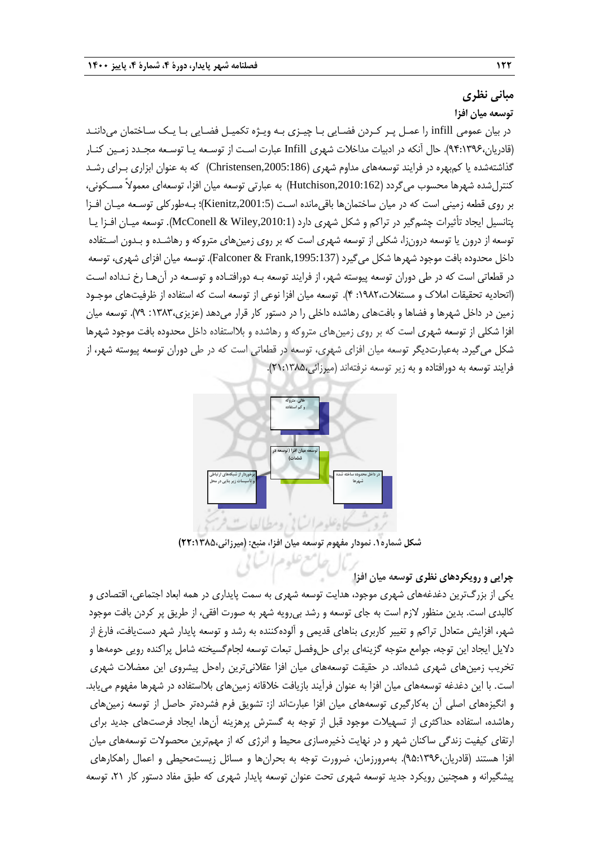## **مبانی نظری**

**توسعه میان افزا**

در بیان عمومی infill را عمـل پـر کـردن فضـایی بـا چیـزی بـه ویـژه تکمیـل فضـایی بـا یـک سـاختمان میداننـد )قادریان31:0331،(. حال آنکه در ادبیات مداخالت شهری Infill عبارت اسـت از توسـعه یـا توسـعه مجـدد زمـین کنـار گذاشتهشده یا کمبهره در فرایند توسعههای مداوم شهری (Christensen,2005:186) که به عنوان ابزاری بـرای رشـد کنترلشده شهرها محسوب میگردد ),2010:162Hutchison )به عبارتی توسعه میان افزا، توسعهای معموالً مسـکونی، بر روی قطعه زمینی است که در میان ساختمانها باقیمانده اسـت ),2001:5Kienitz)؛ بـهطورکلی توسـعه میـان افـزا پتانسیل ایجاد تأثیرات چشمگیر در تراکم و شکل شهری دارد ),2010:1Wiley & McConell). توسعه میـان افـزا یـا توسعه از درون یا توسعه درونزا، شکلی از توسعه شهری است که بر روی زمینهای متروکه و رهاشـده و بـدون اسـتفاده داخل محدوده بافت موجود شهرها شکل میگیرد ),1995:137Frank & Falconer). توسعه میان افزای شهری، توسعه در قطعاتی است که در طی دوران توسعه پیوسته شهر، از فرایند توسعه بـه دورافتـاده و توسـعه در آنهـا رخ نـداده اسـت )اتحادیه تحقیقات امالك و مستغالت:0315، 1(. توسعه میان افزا نوعی از توسعه است که استفاده از ظرفیتهای موجـود زمین در داخل شهرها و فضاها و بافتهای رهاشده داخلی را در دستور کار قرار میدهد )عزیزی:0313، 73(. توسعه میان افزا شکلی از توسعه شهری است که بر روی زمینهای متروکه و رهاشده و بالاستفاده داخل محدوده بافت موجود شهرها شکل میگیرد. بهعبارتدیگر توسعه میان افزای شهری، توسعه در قطعاتی است که در طی دوران توسعه پیوسته شهر، از فرایند توسعه به دورافتاده و به زیر توسعه نرفتهاند (میرزائی،۱۳۸۵:۲۱:۱



**شکل شماره.1 نمودار مفهوم توسعه میان افزا، منبع: )میرزائی22:1385،(**

## **چرایی و رویکردهای نظری توسعه میان افزا**

یکی از بزرگترین دغدغههای شهری موجود، هدایت توسعه شهری به سمت پایداری در همه ابعاد اجتماعی، اقتصادی و کالبدی است. بدین منظور الزم است به جای توسعه و رشد بیرویه شهر به صورت افقی، از طریق پر کردن بافت موجود شهر، افزایش متعادل تراکم و تغییر کاربری بناهای قدیمی و آلودهکننده به رشد و توسعه پایدار شهر دستیافت، فارغ از دالیل ایجاد این توجه، جوامع متوجه گزینهای برای حلوفصل تبعات توسعه لجامگسیخته شامل پراکنده رویی حومهها و تخریب زمینهای شهری شدهاند. در حقیقت توسعههای میان افزا عقالنیترین راهحل پیشروی این معضالت شهری است. با این دغدغه توسعههای میان افزا به عنوان فرآیند بازیافت خالقانه زمینهای بالاستفاده در شهرها مفهوم مییابد. و انگیزههای اصلی آن بهکارگیری توسعههای میان افزا عبارتاند از: تشویق فرم فشردهتر حاصل از توسعه زمینهای رهاشده، استفاده حداکثری از تسهیالت موجود قبل از توجه به گسترش پرهزینه آنها، ایجاد فرصتهای جدید برای ارتقای کیفیت زندگی ساکنان شهر و در نهایت ذخیرهسازی محیط و انرژی که از مهمترین محصولات توسعههای میان افزا هستند (قادریان،۹۵:۱۳۹۶). بهمرورزمان، ضرورت توجه به بحرانها و مسائل زیستمحیطی و اعمال راهکارهای پیشگیرانه و همچنین رویکرد جدید توسعه شهری تحت عنوان توسعه پایدار شهری که طبق مفاد دستور کار ۲۱، توسعه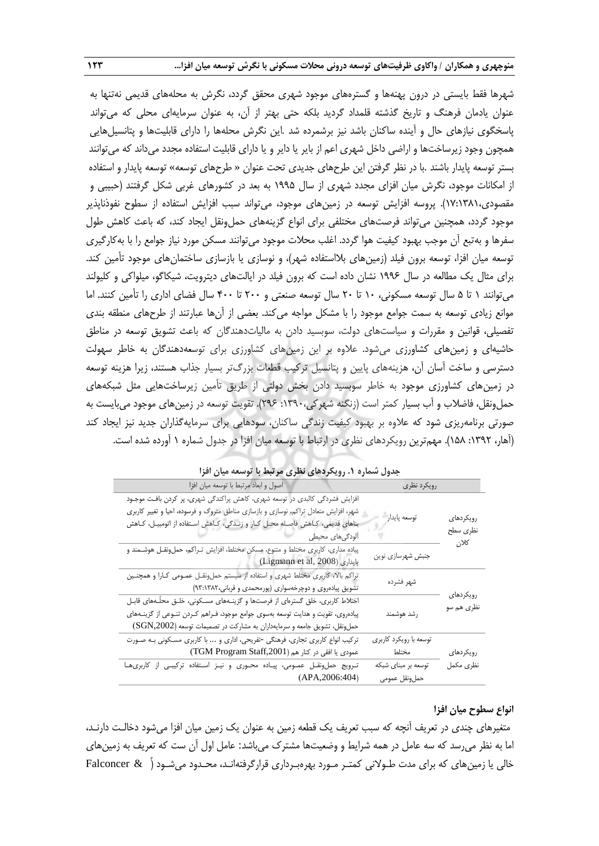شهرها فقط بایستی در درون پهنهها و گسترههای موجود شهری محقق گردد، نگرش به محلههای قدیمی نهتنها به عنوان یادمان فرهنگ و تاریخ گذشته قلمداد گردید بلکه حتی بهتر از آن، به عنوان سرمایهای محلی که میتواند پاسخگوی نیازهای حال و آینده ساکنان باشد نیز برشمرده شد .این نگرش محلهها را دارای قابلیتها و پتانسیلهایی همچون وجود زیرساختها و اراضی داخل شهری اعم از بایر یا دایر و یا دارای قابلیت استفاده مجدد میداند که میتوانند بستر توسعه پایدار باشند .با در نظر گرفتن این طرحهای جدیدی تحت عنوان « طرحهای توسعه» توسعه پایدار و استفاده از امکانات موجود، نگرش میان افزای مجدد شهری از سال 0332 به بعد در کشورهای غربی شکل گرفتند )حبیبی و مقصودی07:0310،(. پروسه افزایش توسعه در زمینهای موجود، میتواند سبب افزایش استفاده از سطوح نفوذناپذیر موجود گردد، همچنین میتواند فرصتهای مختلفی برای انواع گزینههای حملونقل ایجاد کند، که باعث کاهش طول سفرها و بهتبع آن موجب بهبود کیفیت هوا گردد. اغلب محالت موجود میتوانند مسکن مورد نیاز جوامع را با بهکارگیری توسعه میان افزا، توسعه برون فیلد (زمینهای بلااستفاده شهر)، و نوسازی یا بازسازی ساختمانهای موجود تأمین کند. برای مثال یک مطالعه در سال 0331 نشان داده است که برون فیلد در ایالتهای دیترویت، شیکاگو، میلواکی و کلیولند میتوانند 0 تا 2 سال توسعه مسکونی، 01 تا 51 سال توسعه صنعتی و 511 تا 111 سال فضای اداری را تأمین کنند. اما موانع زیادی توسعه به سمت جوامع موجود را با مشکل مواجه میکند. بعضی از آنها عبارتند از طرحهای منطقه بندی تفصیلی، قوانین و مقررات و سیاستهای دولت، سوبسید دادن به مالیاتدهندگان که باعث تشویق توسعه در مناطق حاشیهای و زمینهای کشاورزی میشود. عالوه بر این زمینهای کشاورزی برای توسعهدهندگان به خاطر سهولت دسترسی و ساخت آسان آن، هزینههای پایین و پتانسیل ترکیب قطعات بزرگتر بسیار جذاب هستند، زیرا هزینه توسعه در زمینهای کشاورزی موجود به خاطر سوبسید دادن بخش دولتی از طریق تأمین زیرساختهایی مثل شبکههای حمل ونقل، فاضلاب و آب بسیار کمتر است (زنگنه شهرکی،۱۳۹۰: ۲۹۶). تقویت توسعه در زمین های موجود می بایست به صورتی برنامهریزی شود که عالوه بر بهبود کیفیت زندگی ساکنان، سودهایی برای سرمایهگذاران جدید نیز ایجاد کند )آهار، :0335 021(. مهمترین رویکردهای نظری در ارتباط با توسعه میان افزا در جدول شماره 0 آورده شده است.

|                               |                                       | جنون سندره ۰۰ روپیترمشي متنزی مرتبت با توسعه میان ایرا                                                                                                                                                                                                                      |
|-------------------------------|---------------------------------------|-----------------------------------------------------------------------------------------------------------------------------------------------------------------------------------------------------------------------------------------------------------------------------|
|                               | رويكرد نظرى                           | اصول و ابعاد مرتبط با توسعه ميان افزا<br>$\mathcal{N}$                                                                                                                                                                                                                      |
| رويكردهاى<br>نظرى سطح<br>كلان | توسعه پايدار                          | افزایش فشردگی کالبدی در توسعه شهری، کاهش پراکندگی شهری، پر کردن بافت موجـود<br>شهر، افزایش متعادل تراکم، نوسازی و بازسازی مناطق متروک و فرسوده، احیا و تغییر کاربری<br>بناهای قدیمی، کـاهش فاصـله محـل کـار و زنـدگی، کـاهش اسـتفاده از اتومبیـل، کـاهش<br>ألودگى هاى محيطى |
|                               | جنبش شهرسازي نوين                     | پیاده مداری، کاربری مختلط و متنوع، مسکن مختلط، افزایش تـراکم، حملونقـل هوشـمند و<br>پايدارى (Ligmann et al, 2008)                                                                                                                                                           |
|                               | شهر فشرده                             | تراکم بالا، کاربری مختلط شهری و استفاده از سیستم حملونقـل عمـومی کـارا و همچنـین<br>تشویق پیادهروی و دوچرخهسواری (پورمحمدی و قربانی، ٩٣:١٣٨٢)                                                                                                                               |
| رويكردهاي<br>نظري هم سو       | رشد هوشمند                            | اختلاط کاربری، خلق گسترهای از فرصتها و گزینـههای مسـکونی، خلـق محلّـههای قابـل<br>پیادهروی، تقویت و هدایت توسعه بهسوی جوامع موجود، فـراهم کـردن تنـوعی از گزینـههای<br>حملونقل، تشویق جامعه و سرمایهداران به مشارکت در تصمیمات توسعه (SGN,2002)                             |
| رويكردهاى                     | توسعه با رويكرد كاربري<br>مختلط       | ترکیب انواع کاربری تجاری، فرهنگی -تفریحی، اداری و  با کاربری مسکونی بـه صورت<br>عمودي يا افقى در كنار هم (TGM Program Staff,2001)                                                                                                                                           |
| نظرى مكمل                     | توسعه بر مبناي شبكه<br>حمل ونقل عمومى | ترویج حمل ونقـل عمـومى، پيـاده محـورى و نيـز اسـتفاده تركيبـى از كاربرىهـا<br>(APA, 2006:404)                                                                                                                                                                               |

**جدول شماره .1 رویکردهای نظری مرتبط با توسعه میان افزا**

### **انواع سطوح میان افزا**

متغیرهای چندی در تعریف آنچه که سبب تعریف یک قطعه زمین به عنوان یک زمین میان افزا میشود دخالـت دارنـد، اما به نظر می رسد که سه عامل در همه شرایط و وضعیتها مشترک می باشد: عامل اول آن ست که تعریف به زمین های خالی یا زمینهای که برای مدت طـوالنی کمتـر مـورد بهرهبـرداری قرارگرفتهانـد، محـدود میشـود )ّ & Falconcer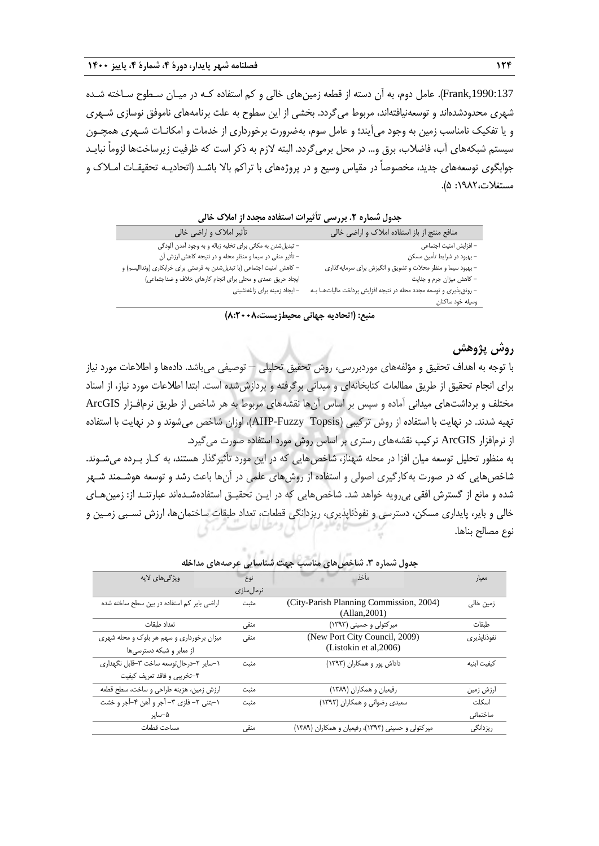,1990:137Frank). عامل دوم، به آن دسته از قطعه زمینهای خالی و کم استفاده کـه در میـان سـطوح سـاخته شـده شهری محدودشدهاند و توسعهنیافتهاند، مربوط میگردد. بخشی از این سطوح به علت برنامههای ناموفق نوسازی شـهری و یا تفکیک نامناسب زمین به وجود می آیند؛ و عامل سوم، بهضرورت برخورداری از خدمات و امکانـات شـهری همچـون سیستم شبکههای آب، فاضالب، برق و... در محل برمیگردد. البته الزم به ذکر است که ظرفیت زیرساختها لزوماً نبایـد جوابگوی توسعههای جدید، مخصوصاً در مقیاس وسیع و در پروژههای با تراکم بالا باشـد (اتحادیـه تحقیقـات امـلاک و مستغالت:0315، 2(.

| بصوت مستورد المترزمين الميرات المستعف متبعته الرامسة المناسبة          |                                                                    |
|------------------------------------------------------------------------|--------------------------------------------------------------------|
| تأثیر املاک و اراضی خالی                                               | منافع منتج از باز استفاده املاک و اراضی خالی                       |
| – تبدیلشدن به مکانی برای تخلیه زباله و به وجود آمدن آلودگی             | – افزایش امنیت اجتماعی                                             |
| – تأثیر منفی در سیما و منظر محله و در نتیجه کاهش ارزش آن               | - بهبود در شرايط تأمين مسكن                                        |
| – كاهش امنيت اجتماعي (با تبديلشدن به فرصتي براي خرابكاري (وندااليسم) و | – بهبود سیما و منظر محلات و تشویق و انگیزش برای سرمایهگذاری        |
| ايجاد حريق عمدى و محلى براى انجام كارهاى خلاف و ضداجتماعى)             | – کاهش میزان جرم و جنایت                                           |
| - ایجاد زمینه برای زاغهنشینی                                           | - رونق پذیری و توسعه مجدد محله در نتیجه افزایش پرداخت مالیاتها بـه |
|                                                                        | وسيله خود ساكنان                                                   |

**جدول شماره .2 بررسی تأثیرات استفاده مجدد از امالک خالی**

## **روش پژوهش**

با توجه به اهداف تحقیق و مؤلفههای موردبررسی، روش تحقیق تحلیلی – توصیفی میباشد. دادهها و اطالعات مورد نیاز برای انجام تحقیق از طریق مطالعات کتابخانهای و میدانی برگرفته و پردازششده است. ابتدا اطالعات مورد نیاز، از اسناد مختلف و برداشتهای میدانی آماده و سپس بر اساس آنها نقشههای مربوط به هر شاخص از طریق نرمافـزار ArcGIS تهیه شدند. در نهایت با استفاده از روش ترکیبی (AHP-Fuzzy Topsis)، اوزان شاخص میشوند و در نهایت با استفاده از نرمافزار ArcGIS ترکیب نقشههای رستری بر اساس روش مورد استفاده صورت میگیرد.

به منظور تحلیل توسعه میان افزا در محله شهناز، شاخصهایی که در این مورد تأثیرگذار هستند، به کـار بـرده میشـوند. شاخصهایی که در صورت بهکارگیری اصولی و استفاده از روشهای علمی در آنها باعث رشد و توسعه هوشـمند شـهر شده و مانع از گسترش افقی بیرویه خواهد شد. شاخصهایی که در ایـن تحقیـق استفادهشـدهاند عبارتنـد از: زمینهـای خالی و بایر، پایداری مسکن، دسترسی و نفوذناپذیری، ریزدانگی قطعات، تعداد طبقات ساختمانها، ارزش نسـبی زمـین و نوع مصالح بناها.

| ویژگیهای لایه                              | نوع        | مأخذ                                                     | معيار       |
|--------------------------------------------|------------|----------------------------------------------------------|-------------|
|                                            | نرمال سازی |                                                          |             |
| اراضی بایر کم استفاده در بین سطح ساخته شده | مثبت       | (City-Parish Planning Commission, 2004)<br>(Allan, 2001) | زمین خالی   |
| تعداد طبقات                                | منفی       | میرکتولی و حسینی (۱۳۹۳)                                  | طبقات       |
| میزان برخورداری و سهم هر بلوک و محله شهری  | منفى       | (New Port City Council, 2009)                            | نفوذناپذیری |
| از معابر و شبکه دسترسیها                   |            | (Listokin et al, 2006)                                   |             |
| ١-ساير ٢-درحال توسعه ساخت ٣-قابل نگهداري   | مثبت       | داداش پور و همکاران (۱۳۹۳)                               | كيفيت ابنيه |
| ۴-تخریبی و فاقد تعریف کیفیت                |            |                                                          |             |
| ارزش زمین، هزینه طراحی و ساخت، سطح قطعه    | مثبت       | رفیعیان و همکاران (۱۳۸۹)                                 | ارزش زمین   |
| ۱-بتنی ۲- فلزی ۳- آجر و آهن ۴-آجر و خشت    | مثبت       | سعیدی رضوانی و همکاران (۱۳۹۲)                            | اسكلت       |
| ۵–سایر                                     |            |                                                          | ساختمانی    |
| مساحت قطعات                                | منفی       | میرکتولی و حسینی (۱۳۹۳)، رفیعیان و همکاران (۱۳۸۹)        | ريزدانگى    |

**جدول شماره .3 شاخصهای مناسب جهت شناسایی عرصههای مداخله**

**منبع: )اتحادیه جهانی محیطزیست8:2008،(**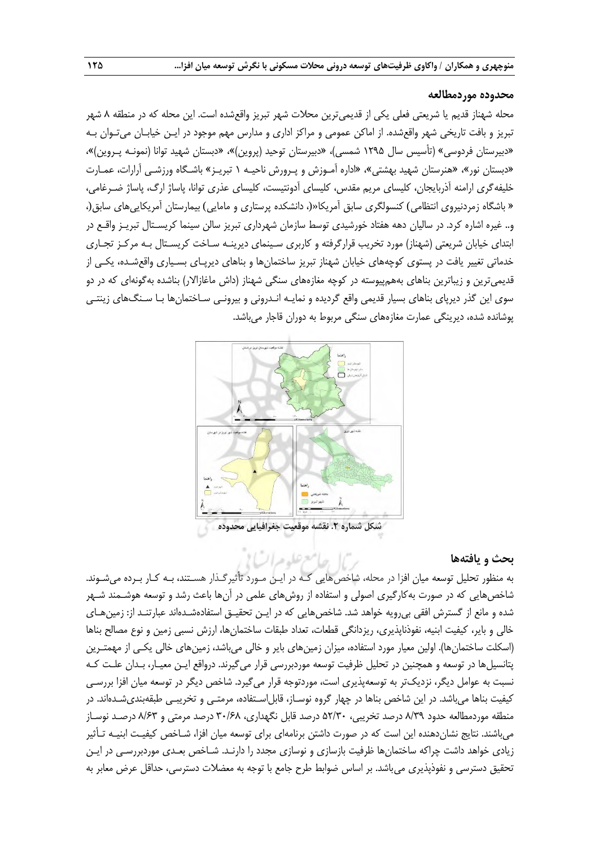#### **محدوده موردمطالعه**

محله شهناز قدیم یا شریعتی فعلی یکی از قدیمیترین محالت شهر تبریز واقعشده است. این محله که در منطقه 1 شهر تبریز و بافت تاریخی شهر واقعشده. از اماکن عمومی و مراکز اداری و مدارس مهم موجود در ایـن خیابـان میتـوان بـه «دبیرستان فردوسی» (تأسیس سال ۱۲۹۵ شمسی)، «دبیرستان توحید (پروین)»، «دبستان شهید توانا (نمونـه پـروین)»، »دبستان نور«، »هنرستان شهید بهشتی«، »اداره آمـوزش و پـرورش ناحیـه 0 تبریـز« باشـگاه ورزشـی آرارات، عمـارت خلیفهگری ارامنه آذربایجان، کلیسای مریم مقدس، کلیسای آدونتیست، کلیسای عذری توانا، پاساژ ارگ، پاساژ ضـرغامی، » باشگاه زمردنیروی انتظامی) کنسولگری سابق آمریکا«(، دانشکده پرستاری و مامایی) بیمارستان آمریکاییهای سابق(، و.. غیره اشاره کرد. در سالیان دهه هفتاد خورشیدی توسط سازمان شهرداری تبریز سالن سینما کریسـتال تبریـز واقـع در ابتدای خیابان شریعتی )شهناز( مورد تخریب قرارگرفته و کاربری سـینمای دیرینـه سـاخت کریسـتال بـه مرکـز تجـاری خدماتی تغییر یافت در پستوی کوچههای خیابان شهناز تبریز ساختمانها و بناهای دیرپـای بسـیاری واقعشـده، یکـی از قدیمیترین و زیباترین بناهای بههمپیوسته در کوچه مغازههای سنگی شهناز (داش ماغازالار) بناشده بهگونهای که در دو سوی این گذر دیرپای بناهای بسیار قدیمی واقع گردیده و نمایـه انـدرونی و بیرونـی سـاختمانها بـا سـنگهای زینتـی پوشانده شده، دیرینگی عمارت مغازههای سنگی مربوط به دوران قاجار میباشد.



### **بحث و یافتهها**

به منظور تحلیل توسعه میان افزا در محله، شاخص هایی کـه در ایـن مـورد تأثیرگـذار هسـتند، بـه کـار بـرده میشـوند. شاخصهایی که در صورت بهکارگیری اصولی و استفاده از روشهای علمی در آنها باعث رشد و توسعه هوشـمند شـهر شده و مانع از گسترش افقی بی رویه خواهد شد. شاخصهایی که در ایـن تحقیـق استفادهشـدهاند عبارتنـد از: زمینهـای خالی و بایر، کیفیت ابنیه، نفوذناپذیری، ریزدانگی قطعات، تعداد طبقات ساختمانها، ارزش نسبی زمین و نوع مصالح بناها )اسکلت ساختمانها(. اولین معیار مورد استفاده، میزان زمینهای بایر و خالی میباشد، زمینهای خالی یکـی از مهمتـرین پتانسیلها در توسعه و هم نین در تحلیل ظرفیت توسعه موردبررسی قرار میگیرند. درواقع ایـن معیـار، بـدان علـت کـه نسبت به عوامل دیگر، نزدیکتر به توسعهپذیری است، موردتوجه قرار میگیرد. شاخص دیگر در توسعه میان افزا بررسـی کیفیت بناها میباشد. در این شاخص بناها در چهار گروه نوسـاز، قابل|سـتفاده، مرمتـی و تخریبـی طبقهبندیشـدهاند. در منطقه موردمطالعه حدود 1/33 درصد تخریبی، 25/31 درصد قابل نگهداری، 31/11 درصد مرمتی و 1/13 درصـد نوسـاز میباشند. نتایج نشاندهنده این است که در صورت داشتن برنامهای برای توسعه میان افزا، شـاخص کیفیـت ابنیـه تـأثیر زیادی خواهد داشت چراکه ساختمانها ظرفیت بازسازی و نوسازی مجدد را دارنـد. شـاخص بعـدی موردبررسـی در ایـن تحقیق دسترسی و نفوذپذیری می باشد. بر اساس ضوابط طرح جامع با توجه به معضلات دسترسی، حداقل عرض معابر به

حامع عليده السالا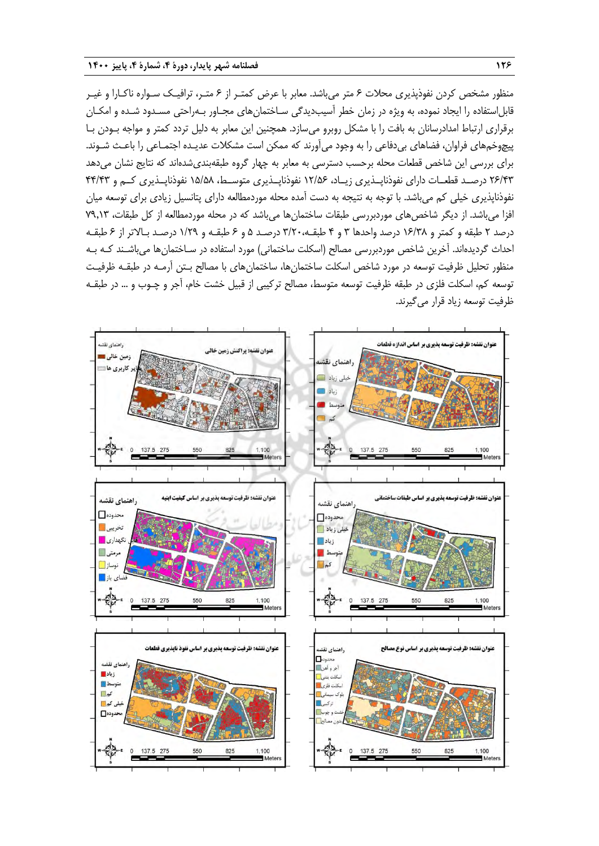منظور مشخص کردن نفوذپذیری محالت 1 متر میباشد. معابر با عرض کمتـر از 1 متـر، ترافیـک سـواره ناکـارا و غیـر قابلاستفاده را ایجاد نموده، به ویژه در زمان خطر آسیبدیدگی سـاختمانهای مجـاور بـهراحتی مسـدود شـده و امکـان برقراری ارتباط امدادرسانان به بافت را با مشکل روبرو میسازد. همچنین این معابر به دلیل تردد کمتر و مواجه بـودن بـا پیچوخمهای فراوان، فضاهای بیدفاعی را به وجود میآورند که ممکن است مشکالت عدیـده اجتمـاعی را باعـ شـوند. برای بررسی این شاخص قطعات محله برحسب دسترسی به معابر به چهار گروه طبقهبندیشدهاند که نتایج نشان میدهد 51/13 درصــد قطعــات دارای نفوذناپــذیری زیــاد، 05/21 نفوذناپــذیری متوســ ، 02/21 نفوذناپــذیری کــم و 11/13 نفوذناپذیری خیلی کم میباشد. با توجه به نتیجه به دست آمده محله موردمطالعه دارای پتانسیل زیادی برای توسعه میان افزا میباشد. از دیگر شاخصهای موردبررسی طبقات ساختمانها میباشد که در محله موردمطالعه از کل طبقات، 73.03 درصد 5 طبقه و کمتر و 01/31 درصد واحدها 3 و 1 طبقـه3/51، درصـد 2 و 1 طبقـه و 0/53 درصـد بـاالتر از 1 طبقـه احداث گردیدهاند. آخرین شاخص موردبررسی مصالح )اسکلت ساختمانی( مورد استفاده در سـاختمانها میباشـند کـه بـه منظور تحلیل ظرفیت توسعه در مورد شاخص اسکلت ساختمانها، ساختمانهای با مصالح بـتن آرمـه در طبقـه ظرفیـت توسعه کم، اسکلت فلزی در طبقه ظرفیت توسعه متوسط، مصالح ترکیبی از قبیل خشت خام، آجر و چـوب و … در طبقـه ظرفیت توسعه زیاد قرار میگیرند.

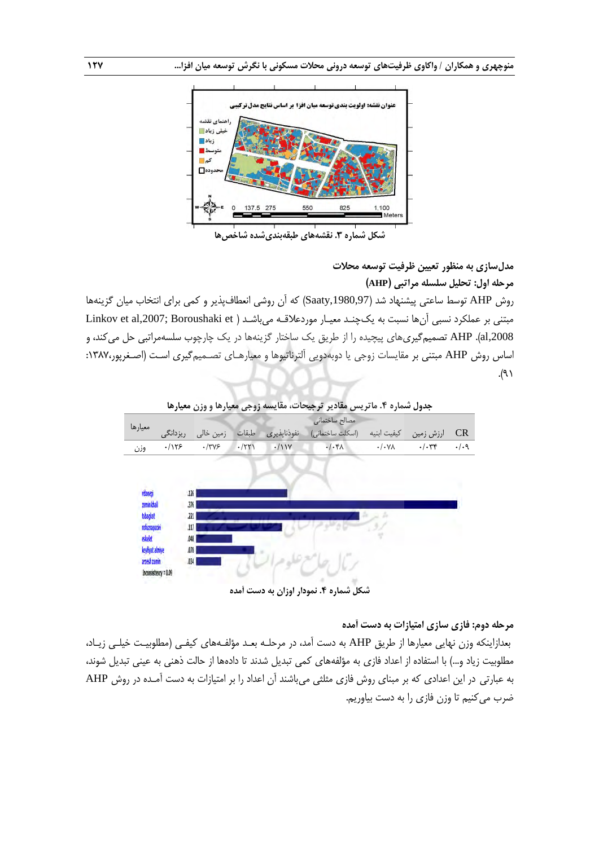

**شکل شماره .3 نقشههای طبقهبندیشده شاخصها**

**مدلسازی به منظور تعیین ظرفیت توسعه محالت مرحله اول: تحلیل سلسله مراتبی )AHP)**

روش AHP توسط ساعتی پیشنهاد شد (Saaty,1980,97) که آن روشی انعطافپذیر و کمی برای انتخاب میان گزینهها مبتنی بر عملکرد نسبی آنها نسبت به یکچنـد معیـار موردعلاقـه میباشـد ( Linkov et al,2007; Boroushaki et al,2008). AHP تصمیمگیری های پیچیده را از طریق یک ساختار گزینهها در یک چارچوب سلسهمراتبی حل می کند، و اساس روش AHP مبتنی بر مقایسات زوجی یا دوبهدویی آلترناتیوها و معیارهـای تصـمیمگیری اسـت )اصـغرپور:0317،  $\ell$  ).



**شکل شماره .4 نمودار اوزان به دست آمده**

**مرحله دوم: فازی سازی امتیازات به دست آمده**

بعدازاینکه وزن نهایی معیارها از طریق AHP به دست آمد، در مرحلـه بعـد مؤلفـههای کیفـی )مطلوبیـت خیلـی زیـاد، مطلوبیت زیاد و…) با استفاده از اعداد فازی به مؤلفههای کمی تبدیل شدند تا دادهها از حالت ذهنی به عینی تبدیل شوند، به عبارتی در این اعدادی که بر مبنای روش فازی مثلثی میباشند آن اعداد را بر امتیازات به دست آمـده در روش AHP ضرب میکنیم تا وزن فازی را به دست بیاوریم.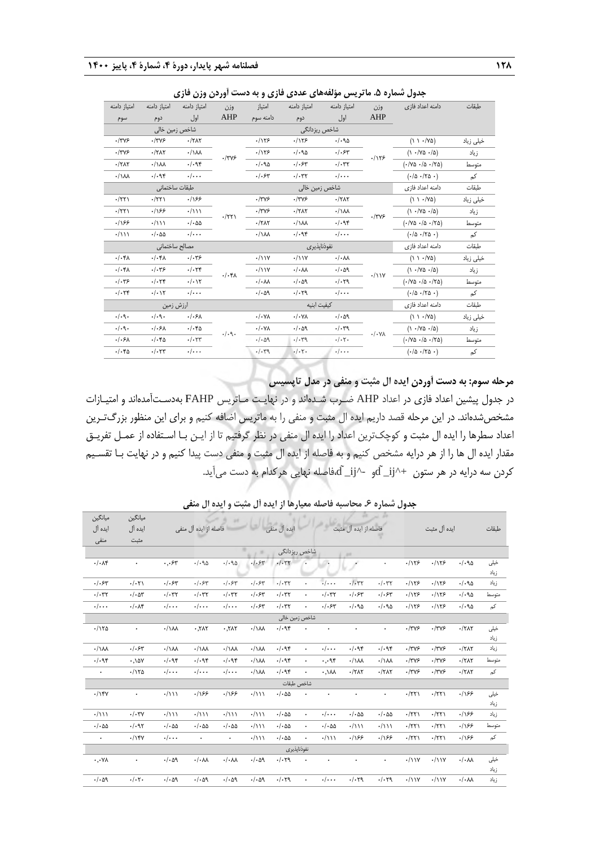| امتياز دامنه<br>امتياز دامنه<br>امتياز دامنه<br>امتياز دامنه<br>امتياز دامنه<br>امتياز<br>وزن<br>وزن<br>AHP<br>AHP<br>اول<br>اول<br>دامنه سوم<br>دوم<br>دوم<br>سوم<br>شاخص ريزدانگى<br>شاخص زمین خالی<br>.1155<br>$-1749$<br>.1155<br>$./-90$<br>$\cdot$ /٣٧۶<br>$\cdot$ /٢ $\Lambda$ ٢<br>$\cdot/\lambda\lambda$<br>.1155<br>.1.90<br>.1.54<br>$\cdot$ /٣٧۶<br>$\cdot$ /٢ $\Lambda$ ٢<br>$\cdot$ /٣٧۶<br>.1155<br>.1.98<br>$. / .$ ۶۳<br>$\cdot$ /٢ $\wedge$ ٢<br>$\cdot/\lambda\lambda$<br>$./-90$<br>$\cdot/\cdot$ ۳۲ | دامنه اعداد فازى<br>$(1 \cdot V\delta)$<br>$(1.70 \cdot 10)$<br>$(1.70 \cdot 10.70)$<br>(·/Δ ·/γΔ ·) | طبقات<br>خیلی زیاد<br>زياد<br>متوسط |
|--------------------------------------------------------------------------------------------------------------------------------------------------------------------------------------------------------------------------------------------------------------------------------------------------------------------------------------------------------------------------------------------------------------------------------------------------------------------------------------------------------------------------|------------------------------------------------------------------------------------------------------|-------------------------------------|
|                                                                                                                                                                                                                                                                                                                                                                                                                                                                                                                          |                                                                                                      |                                     |
|                                                                                                                                                                                                                                                                                                                                                                                                                                                                                                                          |                                                                                                      |                                     |
|                                                                                                                                                                                                                                                                                                                                                                                                                                                                                                                          |                                                                                                      |                                     |
|                                                                                                                                                                                                                                                                                                                                                                                                                                                                                                                          |                                                                                                      |                                     |
|                                                                                                                                                                                                                                                                                                                                                                                                                                                                                                                          |                                                                                                      |                                     |
|                                                                                                                                                                                                                                                                                                                                                                                                                                                                                                                          |                                                                                                      |                                     |
| $\cdot/\cdot\cdot$<br>./.95<br>$./.$ ۶۳<br>$\cdot/\cdot$ ۳۲<br>$\cdot/\cdot\cdot$<br>$\cdot/\lambda\lambda$                                                                                                                                                                                                                                                                                                                                                                                                              |                                                                                                      | کم                                  |
| طبقات ساختمانى<br>شاخص زمین خالی                                                                                                                                                                                                                                                                                                                                                                                                                                                                                         | دامنه اعداد فازى                                                                                     | طبقات                               |
| $\cdot$ /٢٢١<br>.185<br>$\cdot$ /٣٧۶<br>$\cdot$ /٣٧۶<br>$-77AT$<br>$\cdot$ /٢٢١                                                                                                                                                                                                                                                                                                                                                                                                                                          | $(1 \cdot V\delta)$                                                                                  | خیلی زیاد                           |
| $\cdot/\rightarrow$<br>$-1795$<br>.188<br>$\cdot$ /٢ $\Lambda$ ٢<br>$\cdot/\lambda\lambda$<br>$\cdot$ /۲۲)<br>.7795<br>$\cdot$ /٢٢١                                                                                                                                                                                                                                                                                                                                                                                      | $(1.70 \cdot 1)$                                                                                     | زياد                                |
| .189<br>$\cdot/\cdot$ 55<br>$\cdot/\lambda\lambda$<br>.1.98<br>. / 111<br>$-17AT$                                                                                                                                                                                                                                                                                                                                                                                                                                        | $(1.70 \cdot 10.70)$                                                                                 | متوسط                               |
| $\cdot/\cdot\cdot$<br>$\cdot/\lambda\lambda$<br>.1.94<br>.7111<br>$\cdot/\cdot \Delta \Delta$<br>$\cdot/\cdot\cdot$                                                                                                                                                                                                                                                                                                                                                                                                      | (·/Δ ·/γΔ ·)                                                                                         | کم                                  |
| مصالح ساختمانى<br>نفوذناپذیری                                                                                                                                                                                                                                                                                                                                                                                                                                                                                            | دامنه اعداد فازى                                                                                     | طبقات                               |
| $\cdot$ / \ \ Y<br>$./-$ ۴۸<br>$\cdot/\cdot$ ۴۸<br>$. -$<br>$\cdot/\cdot\Lambda\Lambda$<br>$\cdot$ / \ \ Y                                                                                                                                                                                                                                                                                                                                                                                                               | $(1 \cdot \sqrt{V\Delta})$                                                                           | خیلی زیاد                           |
| . / . 79<br>$\cdot/\cdot$<br>$\cdot/\cdot$ ۴۸<br>$\cdot$ / \ \ Y<br>$\cdot/\cdot\lambda\lambda$<br>.1.09                                                                                                                                                                                                                                                                                                                                                                                                                 | $(1.70 \cdot 10)$                                                                                    | زياد                                |
| $\cdot/\cdot$ ۴۸<br>$\cdot$ / ۱ ۱ ۷<br>$\cdot/\cdot$ ۳۶<br>.1.74<br>$\cdot/\cdot$<br>$\cdot/\cdot$ $\wedge\wedge$<br>$-1.09$<br>.1.79                                                                                                                                                                                                                                                                                                                                                                                    | $(1.70 \cdot 10.70)$                                                                                 | متوسط                               |
| .1.74<br>. / . 17<br>$\cdot/\cdot\cdot$<br>$-1.09$<br>$.1 - 79$<br>$\cdot/\cdot\cdot$                                                                                                                                                                                                                                                                                                                                                                                                                                    | (·/Δ ·/γΔ ·)                                                                                         | کم                                  |
| كيفيت ابنيه<br>ارزش زمین                                                                                                                                                                                                                                                                                                                                                                                                                                                                                                 | دامنه اعداد فازى                                                                                     | طبقات                               |
| .4.9.<br>.4.9.<br>$./.5\lambda$<br>$\cdot/\cdot$ YA<br>$\cdot/\cdot$ YA<br>$\cdot/\cdot$ aq                                                                                                                                                                                                                                                                                                                                                                                                                              | (11.4)                                                                                               | خیلی زیاد                           |
| .4.9.<br>.1.5 <sub>A</sub><br>$./-$ ۴۵<br>$-1.09$<br>$.1 - \tau$<br>$\cdot/\cdot$ YA<br>$\cdot/\cdot$ YA<br>.4.9.                                                                                                                                                                                                                                                                                                                                                                                                        | $(1.70 \cdot 10)$                                                                                    | زياد                                |
| ./.5 <sub>A</sub><br>$./-$ ۴۵<br>$\cdot/\cdot$ $\tau\tau$<br>.4.4<br>.4.4<br>$\cdot/\cdot7$ .                                                                                                                                                                                                                                                                                                                                                                                                                            | $(1.140 \cdot 10.170)$                                                                               | متوسط                               |
| $\cdot/\cdot$ ۴۵<br>$\cdot/\cdot$ $\tau\tau$<br>$\cdot/\cdot\cdot$<br>$\cdot/\cdot7$ .<br>$\cdot/\cdot\cdot\cdot$<br>.4.4                                                                                                                                                                                                                                                                                                                                                                                                | (·/0.170.)                                                                                           | کم                                  |

**جدول شماره .5 ماتریس مؤلفههای عددی فازی و به دست آوردن وزن فازی**

**مرحله سوم: به دست آوردن ایده ال مثبت و منفی در مدل تاپسیس**

در جدول پیشین اعداد فازی در اعداد AHP ضـرب شـدهاند و در نهایـت مـاتریس FAHP بهدسـتآمدهاند و امتیـازات مشخصشدهاند. در این مرحله قصد داریم ایده ال مثبت و منفی را به ماتریس اضافه کنیم و برای این منظور بزرگتـرین اعداد سطرها را ایده ال مثبت و کوچکترین اعداد را ایده ال منفی در نظر گرفتیم تا از ایـن بـا اسـتفاده از عمـل تفریـق مقدار ایده ال ها را از هر درایه مشخص کنیم و به فاصله از ایده ال مثبت و منفی دست پیدا کنیم و در نهایت بـا تقسـیم کردن سه درایه در هر ستون  $\mathrm{i}j$  dْ $\mathrm{j}$ و  $\mathrm{d}$ فاصله نهایی هرکدام به دست میآید.

| ميانگين                    | ميانگين                       |                         |                             |                           |                         |                             |                      |                         |                                      |                             |                 |              |                             |              |
|----------------------------|-------------------------------|-------------------------|-----------------------------|---------------------------|-------------------------|-----------------------------|----------------------|-------------------------|--------------------------------------|-----------------------------|-----------------|--------------|-----------------------------|--------------|
| ايده آل                    | ايده آل                       |                         | فاصله از ايده آل منفى       |                           |                         | ایده آل منفی                |                      |                         | فاصله از ايده آل مثبت                |                             |                 | ايده آل مثبت |                             | طبقات        |
| منفى                       | مثبت                          |                         |                             |                           |                         |                             |                      |                         |                                      |                             |                 |              |                             |              |
|                            |                               |                         |                             |                           |                         | شاخص ريزدانگي               |                      |                         | <b>ART</b>                           |                             |                 |              |                             |              |
| $\cdot/\cdot\Lambda$ ۴     | $\ddot{\phantom{0}}$          | $\cdot$ , $\cdot$ ۶۳    | $./-90$                     | $. / . q_0$               | $-1.54$                 | $-1.57$                     |                      |                         |                                      |                             | .1155           | .1155        | $./-90$                     | خيلى<br>زياد |
| .1.54                      | .7.71                         | $. / .$ ۶۳              | $./-$ ۶۳                    | $./.$ ۶۳                  | $./-$ ۶۳                | $\cdot/\cdot$ ۳۲            | $\ddot{\phantom{0}}$ | $\cdot/\cdot\cdot$      | $-1.57$                              | $\cdot/\cdot$ ۳۲            | .1155           | .1155        | $./-90$                     | زياد         |
| $\cdot/\cdot$ ۳۲           | $\cdot/\cdot\Delta\mathbf{r}$ | $\cdot/\cdot$ ۳۲        | $\cdot/\cdot$ ۳۲            | $\cdot/\cdot$ ۳۲          | $./-$ ۶۳                | $\cdot/\cdot$ ۳۲            | $\bullet$            | $\cdot/\cdot$ ۳۲        | $. / .$ ۶۳                           | $./-$ ۶۳                    | .1155           | .1175        | $./-90$                     | متوسط        |
| $\cdot/\cdot\cdot$         | $\cdot/\cdot\Lambda$ ۴        | $\cdot/\cdot\cdot$      | $\cdot/\cdot\cdot$          | $\cdot/\cdot\cdot$        | $./-$ ۶۳                | $\cdot/\cdot$ ۳۲            | $\ddot{\phantom{0}}$ | $./.$ ۶۳                | $\cdot/\cdot$ 90                     | $./-90$                     | .1155           | .115         | $\cdot/\cdot$ 90            | کم           |
|                            |                               |                         |                             |                           |                         | شاخص زمین خالی              |                      |                         |                                      |                             |                 |              |                             |              |
| .1170                      | $\bullet$                     | $\cdot/\lambda\lambda$  | $7\lambda7.$                | .717                      | $\cdot/\lambda\lambda$  | .1.98                       |                      | ٠                       | $\bullet$                            | ٠                           | $\cdot$ /٣٧۶    | $\cdot$ /٣٧۶ | $\cdot$ /٢ $\Lambda$ ٢      | خيلى<br>زياد |
| $\cdot/\lambda\lambda$     | $. / .$ ۶۳                    | $\cdot/\lambda\lambda$  | $\cdot/\lambda\lambda$      | $\cdot/\lambda\lambda$    | $\cdot/\lambda\lambda$  | .1.98                       | $\ddot{\phantom{0}}$ | $\cdot/\cdot\cdot$      | .1.98                                | .499                        | $\cdot$ /٣٧۶    | $\cdot$ /٣٧۶ | $-17AT$                     | زياد         |
| ./.95                      | .001.                         | .1.98                   | .496                        | .496                      | $\cdot/\lambda\lambda$  | .1.98                       | $\bullet$            | $\cdot$ , $\cdot$ 94    | $\cdot/\wedge\wedge$                 | $\cdot/\lambda\lambda$      | $\cdot$ /٣٧۶    | $\cdot$ /٣٧۶ | $-77AT$                     | متوسط        |
| ٠                          | $-1150$                       | $\cdot/\cdot\cdot$      | $\cdot/\cdot\cdot$          | $\cdot/\cdot\cdot$        | $\cdot/\lambda\lambda$  | .1.98                       | $\ddot{\phantom{0}}$ | $\lambda\lambda$ /      | $\cdot$ /٢ $\Lambda$ ٢               | $-77AT$                     | $\cdot$ /٣٧۶    | $\cdot$ /٣٧۶ | $\cdot$ /٢ $\Lambda$ ٢      | کم           |
|                            |                               |                         |                             |                           |                         |                             | شاخص طبقات           |                         |                                      |                             |                 |              |                             |              |
| .1                         | $\bullet$                     | . / 111                 | .185                        | .185                      | $\cdot / \wedge \wedge$ | $\cdot/\cdot$ ۵۵            |                      |                         | ٠                                    | ٠                           | $\cdot$ /٢٢١    | $\cdot$ /٢٢١ | .185                        | خيلى<br>زياد |
| $\cdot / \wedge \wedge$    | $\cdot/\cdot$ ۳۷              | $\cdot/111$             | $\cdot / \wedge \wedge$     | .7111                     | $\cdot / \wedge \wedge$ | $\cdot/\cdot$ ۵۵            | $\ddot{\phantom{0}}$ | $\cdot/\cdot\cdot$      | $\cdot/\cdot$ ۵۵                     | $\cdot/\cdot \Delta \Delta$ | $\cdot$ /٢٢١    | $\cdot$ /٢٢) | .185                        | زياد         |
| $\cdot/\cdot$ ۵۵           | .1.97                         | $\cdot/\cdot$ 55        | $\cdot/\cdot$ ۵۵            | $\cdot/\cdot$ ۵۵          | $\cdot / \wedge \wedge$ | $\cdot/\cdot$ 55            | $\ddot{\phantom{0}}$ | $\cdot/\cdot$ 55        | $\cdot/111$                          | $\cdot / \wedge \wedge$     | $\cdot$ /٢٢١    | $\cdot$ /٢٢١ | .189                        | متوسط        |
| $\ddot{\phantom{0}}$       | .1                            | $\cdot/\cdot\cdot$      | $\bullet$                   | $\bullet$                 | $\cdot / \wedge \wedge$ | $\cdot/\cdot \Delta \Delta$ |                      | $\cdot / \wedge \wedge$ | .199                                 | .188                        | $\cdot$ /٢٢١    | $\cdot$ /٢٢١ | .189                        | کم           |
|                            |                               |                         |                             |                           |                         | نفوذناپذيرى                 |                      |                         |                                      |                             |                 |              |                             |              |
| $\cdot, \cdot \vee \wedge$ | ٠                             | $\cdot/\cdot \Delta$ 9  | $\cdot/\cdot\lambda\lambda$ | $\cdot/\cdot\wedge\wedge$ | $.1 - 09$               | .1.79                       |                      |                         | ۰                                    | ۰                           | $\cdot$ / \ \ Y | $\cdot$ /11Y | $\cdot/\cdot\wedge\wedge$   | خيلى         |
|                            |                               |                         |                             |                           |                         |                             |                      |                         |                                      |                             |                 |              |                             | زياد         |
| $\cdot/\cdot$ $\circ$ 9    | $\cdot/\cdot7$ .              | $\cdot/\cdot$ $\circ$ 9 | $.1 - 09$                   | $.1 - 09$                 | $.1 - 09$               | $.1 - 79$                   |                      | $\cdot/\cdot\cdot$      | $\cdot/\cdot$ $\mathsf{r}\mathsf{q}$ | $\cdot/\cdot$ $\tau$ 9      | $\cdot$ / \ \ Y | $\cdot$ /11Y | $\cdot/\cdot\Lambda\Lambda$ | زياد         |

**جدول شماره .6 محاسبه فاصله معیارها از ایده آل مثبت و ایده ال منفی**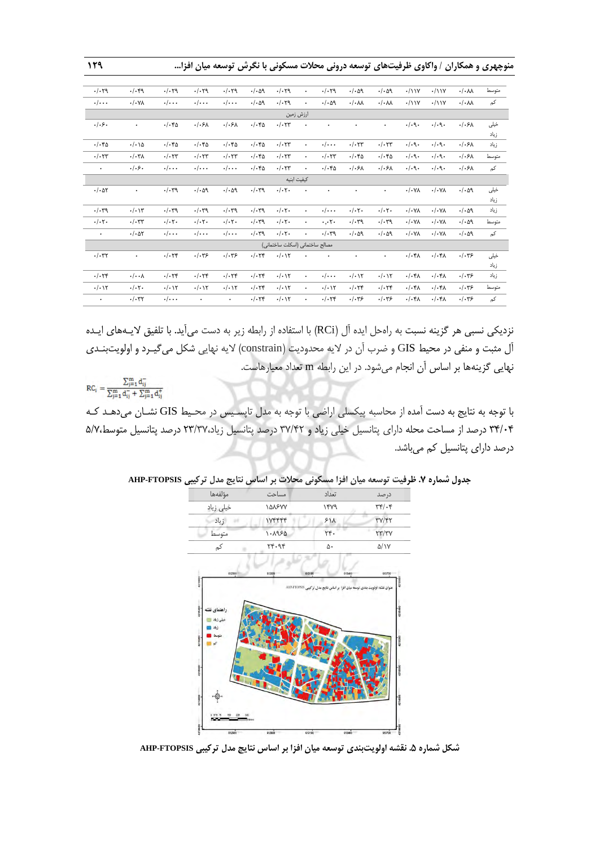| ۱۲۹ |  |  |  |  |  |  | منوچهری و همکاران / واکاوی ظرفیتهای توسعه درونی محلات مسکونی با نگرش توسعه میان افزا… |
|-----|--|--|--|--|--|--|---------------------------------------------------------------------------------------|
|-----|--|--|--|--|--|--|---------------------------------------------------------------------------------------|

| $.1 - 79$                   | $\cdot/\cdot$ ۴9               | $.1 - 79$                        | $.1 - 79$                        | $.1 - 79$                  | $\cdot/\cdot$ $\circ$ 9          | $.1 - 79$                       | $\bullet$            | $.1 - 79$                   | $.1 - 09$                        | .1.09                            | $\cdot$ /11Y     | $\cdot$ /11Y     | $\cdot/\cdot\lambda\lambda$ | متوسط |
|-----------------------------|--------------------------------|----------------------------------|----------------------------------|----------------------------|----------------------------------|---------------------------------|----------------------|-----------------------------|----------------------------------|----------------------------------|------------------|------------------|-----------------------------|-------|
| $\cdot/\cdot\cdot$          | $\cdot/\cdot$ YA               | $\cdot/\cdot\cdot$               | $\cdot/\cdot\cdot$               | $\cdot/\cdot\cdot$         | $\cdot/\cdot$ $\circ$ 9          | $.1 - 79$                       | $\bullet$            | $\cdot/\cdot$ aq            | $\cdot/\cdot$ M                  | $\cdot/\cdot\lambda\lambda$      | $\cdot$ /11Y     | $\cdot$ /11Y     | $\cdot/\cdot\lambda\lambda$ | کم    |
|                             |                                |                                  |                                  |                            |                                  | ارزش زمین                       |                      |                             |                                  |                                  |                  |                  |                             |       |
| .1.5.                       | $\bullet$                      | $\cdot/\cdot$ ۴۵                 | ./.5A                            | ./.5A                      | $\cdot/\cdot$ ۴۵                 | $\cdot/\cdot$ $\tau\tau$        | $\ddot{\phantom{0}}$ |                             | ٠                                | ٠                                | .4.9.            | .4.9.            | $./.5\lambda$               | خيلى  |
|                             |                                |                                  |                                  |                            |                                  |                                 |                      |                             |                                  |                                  |                  |                  |                             | زياد  |
| $\cdot/\cdot$ ۴۵            | $\cdot/\cdot \setminus \Delta$ | $\cdot/\cdot$ ۴۵                 | $\cdot/\cdot$ ۴۵                 | $\cdot/\cdot$ ۴۵           | $\cdot/\cdot$ ۴۵                 | $\cdot/\cdot$ $\tau\tau$        | $\bullet$            | $\cdot/\cdot\cdot$          | $\cdot/\cdot$ $\tau\tau$         | $\cdot/\cdot$ $\tau\tau$         | .4.9.            | $\cdot/\cdot$ 9. | $./.5\lambda$               | زياد  |
| $\cdot/\cdot$ $\tau\tau$    | $\cdot/\cdot\tau$              | $\cdot/\cdot$ $\tau\tau$         | $\cdot/\cdot$ $\tau\tau$         | $\cdot/\cdot$ $\tau\tau$   | $\cdot/\cdot$ ۴۵                 | $\cdot/\cdot$ $\tau\tau$        | $\bullet$            | $\cdot/\cdot$ ۳۳            | $\cdot/\cdot$ ۴۵                 | $\cdot/\cdot$ ۴۵                 | .4.9.            | $\cdot/\cdot$ 9. | $./.5\lambda$               | متوسط |
| $\bullet$                   | .1.5.                          | $\cdot/\cdot\cdot$               | $\cdot/\cdot\cdot$               | $\cdot/\cdot\cdot$         | $\cdot/\cdot$ ۴۵                 | $\cdot/\cdot$ $\tau\tau$        | $\bullet$            | $\cdot/\cdot$ ۴۵            | .1.5 <sub>A</sub>                | $./-5A$                          | .4.9.            | $\cdot/\cdot$ 9. | $./.5\lambda$               | کم    |
|                             |                                |                                  |                                  |                            |                                  | كيفيت ابنيه                     |                      |                             |                                  |                                  |                  |                  |                             |       |
| $\cdot/\cdot$ $\Delta \tau$ | $\bullet$                      | $\cdot/\cdot$ ۳9                 | .4.4                             | $.1 - 09$                  | .4.7.                            | $\cdot/\cdot7$ .                | $\ddot{\phantom{0}}$ | ۰                           | ٠                                | ۰                                | $\cdot/\cdot$ YA | $\cdot/\cdot$ YA | $\cdot/\cdot$ $\circ$ 9     | خيلى  |
|                             |                                |                                  |                                  |                            |                                  |                                 |                      |                             |                                  |                                  |                  |                  |                             | زياد  |
| $.1 - \tau$                 | $\cdot/\cdot$ \\r              | $\cdot/\cdot$ ۳9                 | $.1 - \tau$                      | $.1 - \tau$                | $.1 - 79$                        | $\cdot/\cdot7$ .                | $\bullet$            | $\cdot/\cdot\cdot$          | $\cdot/\cdot7$ .                 | $\cdot/\cdot \tau$ .             | $\cdot/\cdot$ YA | $\cdot/\cdot$ YA | $.1 - 09$                   | زياد  |
| $\cdot/\cdot7$ .            | $\cdot/\cdot$ ۳۳               | $\cdot/\cdot7$ .                 | $\cdot/\cdot7$ .                 | $\cdot/\cdot7$ .           | $.1 - 79$                        | $\cdot/\cdot7$                  | $\bullet$            | $\cdot$ , $\cdot$ r $\cdot$ | $.1 - \gamma$                    | $.1 - \tau$                      | $\cdot/\cdot$ YA | $\cdot/\cdot$ YA | $\cdot/\cdot$ $\circ$ 9     | متوسط |
| $\bullet$                   | $\cdot/\cdot$ $\Delta \tau$    | $\cdot/\cdot\cdot$               | $\cdot/\cdot\cdot$               | $\cdot/\cdot\cdot$         | $.1 - \mathcal{F}$               | $\cdot/\cdot7$ .                | $\bullet$            | $.1 - 79$                   | $-1.09$                          | .1.09                            | $\cdot/\cdot$ YA | $\cdot/\cdot$ YA | $\cdot/\cdot$ $\circ$ 9     | کم    |
|                             |                                |                                  |                                  |                            |                                  | مصالح ساختمانى (اسكلت ساختمانى) |                      |                             |                                  |                                  |                  |                  |                             |       |
| $\cdot/\cdot$ ۳۲            | $\bullet$                      | $\cdot/\cdot$ $\uparrow\uparrow$ | .1.75                            | .1.75                      | $\cdot/\cdot$ $\uparrow\uparrow$ | $\cdot/\cdot$ ) $\Upsilon$      | $\bullet$            | $\bullet$                   | ۰                                | ۰                                | $\cdot/\cdot$ ۴۸ | $.$ / $.$ ۴۸     | .1.79                       | خيلى  |
|                             |                                |                                  |                                  |                            |                                  |                                 |                      |                             |                                  |                                  |                  |                  |                             | زياد  |
| . / . 74                    | $\cdot/\cdot\cdot$ $\wedge$    | $\cdot/\cdot$ $\uparrow\uparrow$ | $\cdot/\cdot$ $\uparrow\uparrow$ | .1.74                      | $\cdot/\cdot$ $\uparrow\uparrow$ | $\cdot/\cdot$ ) $\Upsilon$      | $\bullet$            | $\cdot/\cdot\cdot$          | $\cdot/\cdot$                    | $\cdot/\cdot$ ) $\Upsilon$       | $\cdot/\cdot$ ۴۸ | $./-$ ۴۸         | .1.79                       | زياد  |
| $\cdot/\cdot$ ) $\Upsilon$  | $\cdot/\cdot7$ .               | $\cdot/\cdot$ ) $\Upsilon$       | $\cdot/\cdot$ \ $\Upsilon$       | $\cdot/\cdot$ ) $\Upsilon$ | .1.74                            | $\cdot/\cdot$ ) $\Upsilon$      | $\bullet$            | $\cdot/\cdot$ ) $\Upsilon$  | $\cdot/\cdot$ $\uparrow\uparrow$ | $\cdot/\cdot$ $\uparrow\uparrow$ | $\cdot/\cdot$ ۴۸ | $.$ / $.$ ۴۸     | .1.79                       | متوسط |
| $\bullet$                   | $\cdot/\cdot$ ۳۲               | $\cdot/\cdot\cdot$               | $\bullet$                        | $\ddot{\phantom{0}}$       | $\cdot/\cdot$ $\uparrow\uparrow$ | $\cdot/\cdot$ ) $\Upsilon$      | $\bullet$            | $\cdot/\cdot$ ٢۴            | .1.79                            | .1.79                            | $.$ / $.$ ۴۸     | $./-$ ۴۸         | $.$ / $.$ ۳۶                | کم    |

نزدیکی نسبی هر گزینه نسبت به راهحل ایده آل )RCi )با استفاده از رابطه زیر به دست میآید. با تلفیق الیـههای ایـده آل مثبت و منفی در محی GIS و ضرب آن در الیه محدودیت )constrain )الیه نهایی شکل میگیـرد و اولویتبنـدی نهایی گزینهها بر اساس آن انجام میشود. در این رابطه m تعداد معیارهاست.

 $RC_i = \frac{\sum_{j=1}^{m} d_{ij}^{-}}{\sum_{i=1}^{m} d_{ij}^{-} + \sum_{j=1}^{m} d_{ij}^{+}}$ 

با توجه به نتایج به دست آمده از محاسبه پیکسلی اراضی با توجه به مدل تاپسـیس در محـی GIS نشـان میدهـد کـه 31/11 درصد از مساحت محله دارای پتانسیل خیلی زیاد و 37/15 درصد پتانسیل زیاد53/37، درصد پتانسیل متوس 2/7، درصد دارای پتانسیل کم میباشد.

| مؤلفهها                   |                              |                                                                               |                                         |
|---------------------------|------------------------------|-------------------------------------------------------------------------------|-----------------------------------------|
|                           | مساحت                        | تعداد                                                                         | درصد                                    |
| خیلی زیاد                 | <b><i>\&amp;A&amp;YY</i></b> | ۱۴۷۹                                                                          | $\tau$                                  |
| زياد                      | <b>IVFFFF</b>                | 51                                                                            | <b>٣٧/۴٢</b>                            |
| متوسط                     | $1 - \lambda950$             | $\tau$ .                                                                      | $\Upsilon \Upsilon / \Upsilon \Upsilon$ |
| کم                        | ۲۴۰۹۴                        | ۵۰                                                                            | $\Delta/\gamma$                         |
| 612500                    | 612800                       | 613100<br>613400                                                              | 613700                                  |
|                           |                              | عنوان تقشه: اولویت بندی توسعه میان افزا بر اساس نتایج مدل تر کیبی AHP-FTOPSIS |                                         |
| راهنمای نقشه<br>خيلى زياد |                              |                                                                               |                                         |
|                           |                              |                                                                               |                                         |
|                           |                              |                                                                               |                                         |
|                           |                              |                                                                               |                                         |
|                           |                              |                                                                               |                                         |
|                           |                              |                                                                               |                                         |
| $-1$                      |                              |                                                                               | 1215000                                 |
|                           |                              |                                                                               | 121480                                  |

**جدول شماره .7 ظرفیت توسعه میان افزا مسکونی محالت بر اساس نتایج مدل ترکیبی FTOPSIS-AHP**

**شکل شماره .5 نقشه اولویتبندی توسعه میان افزا بر اساس نتایج مدل ترکیبی FTOPSIS-AHP**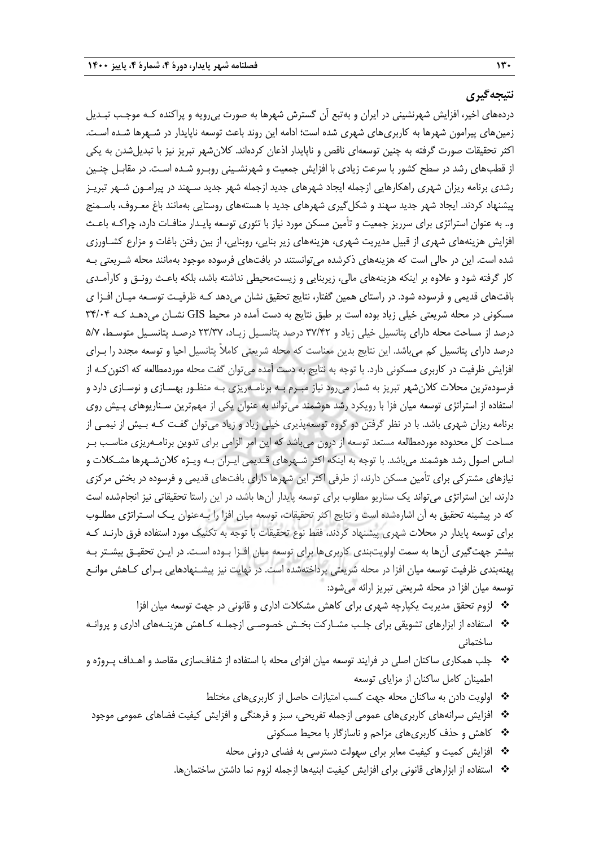## **نتیجهگیری**

دردههای اخیر، افزایش شهرنشینی در ایران و بهتبع آن گسترش شهرها به صورت بیرویه و پراکنده کـه موجـب تبـدیل زمینهای پیرامون شهرها به کاربریهای شهری شده است؛ ادامه این روند باعث توسعه ناپایدار در شـهرها شـده اسـت. اکثر تحقیقات صورت گرفته به چنین توسعهای ناقص و ناپایدار اذعان کردهاند. کالنشهر تبریز نیز با تبدیلشدن به یکی از قطبهای رشد در سطح کشور با سرعت زیادی با افزایش جمعیت و شهرنشـینی روبـرو شـده اسـت. در مقابـل چنـین رشدی برنامه ریزان شهری راهکارهایی ازجمله ایجاد شهرهای جدید ازجمله شهر جدید سـهند در پیرامـون شـهر تبریـز پیشنهاد کردند. ایجاد شهر جدید سهند و شکلگیری شهرهای جدید با هستههای روستایی بهمانند باغ معـروف، باسـمنج و.. به عنوان استراتژی برای سرریز جمعیت و تأمین مسکن مورد نیاز با تئوری توسعه پایـدار منافـات دارد، چراکـه باعـ افزایش هزینههای شهری از قبیل مدیریت شهری، هزینههای زیر بنایی، روبنایی، از بین رفتن باغات و مزارع کشـاورزی شده است. این در حالی است که هزینههای ذکرشده میتوانستند در بافتهای فرسوده موجود بهمانند محله شـریعتی بـه کار گرفته شود و علاوه بر اینکه هزینههای مالی، زیربنایی و زیستمحیطی نداشته باشد، بلکه باعـث رونـق و کارآمـدی بافتهای قدیمی و فرسوده شود. در راستای همین گفتار، نتایج تحقیق نشان میدهد کـه ظرفیـت توسـعه میـان افـزا ی مسکونی در محله شریعتی خیلی زیاد بوده است بر طبق نتایج به دست آمده در محیط GIS نشـان میدهـد کـه ۳۴/۰۴ درصد از مساحت محله دارای پتانسیل خیلی زیاد و ٣٧/۴٢ درصد پتانسـیل زیـاد، ٢٣/٣٧ درصـد پتانسـیل متوسـط، ٥/٧ درصد دارای پتانسیل کم میباشد. این نتایج بدین معناست که محله شریعتی کامالً پتانسیل احیا و توسعه مجدد را بـرای افزایش ظرفیت در کاربری مسکونی دارد. با توجه به نتایج به دست آمده میتوان گفت محله موردمطالعه که اکنونکـه از فرسودهترین محالت کالنشهر تبریز به شمار میرود نیاز مبـرم بـه برنامـهریزی بـه منظـور بهسـازی و نوسـازی دارد و استفاده از استراتژی توسعه میان فزا با رویکرد رشد هوشمند میتواند به عنوان یکی از مهمترین سـناریوهای پـیش روی برنامه ریزان شهری باشد. با در نظر گرفتن دو گروه توسعهپذیری خیلی زیاد و زیاد میتوان گفـت کـه بـیش از نیمـی از مساحت کل محدوده موردمطالعه مستعد توسعه از درون میباشد که این امر الزامی برای تدوین برنامـهریزی مناسـب بـر اساس اصول رشد هوشمند میباشد. با توجه به اینکه اکثر شـهرهای قـدیمی ایـران بـه ویـژه کالنشـهرها مشـکالت و نیازهای مشترکی برای تأمین مسکن دارند، از طرفی اکثر این شهرها دارای بافتهای قدیمی و فرسوده در بخش مرکزی دارند، این استراتژی میتواند یک سناریو مطلوب برای توسعه پایدار آنها باشد، در این راستا تحقیقاتی نیز انجامشده است که در پیشینه تحقیق به آن اشارهشده است و نتایج اکثر تحقیقات، توسعه میان افزا را بـهعنوان یـک اسـتراتژی مطلـوب برای توسعه پایدار در محلات شهری پیشنهاد کردند، فقط نوع تحقیقات با توجه به تکنیک مورد استفاده فرق دارنـد کـه بیشتر جهتگیری آنها به سمت اولویتبندی کاربریها برای توسعه میان افـزا بـوده اسـت. در ایـن تحقیـق بیشـتر بـه پهنهبندی ظرفیت توسعه میان افزا در محله شریعتی پرداختهشده است. در نهایت نیز پیشـنهادهایی بـرای کـاهش موانـع توسعه میان افزا در محله شریعتی تبریز ارائه میشود:

- لزوم تحقق مدیریت یکپارچه شهری برای کاهش مشکالت اداری و قانونی در جهت توسعه میان افزا
- استفاده از ابزارهای تشویقی برای جلـب مشـارکت بخـش خصوصـی ازجملـه کـاهش هزینـههای اداری و پروانـه ساختمانی
- جلب همکاری ساکنان اصلی در فرایند توسعه میان افزای محله با استفاده از شفافسازی مقاصد و اهـداف پـروژه و اطمینان کامل ساکنان از مزایای توسعه
	- اولویت دادن به ساکنان محله جهت کسب امتیازات حاصل از کاربریهای مختل
	- افزایش سرانههای کاربریهای عمومی ازجمله تفریحی، سبز و فرهنگی و افزایش کیفیت فضاهای عمومی موجود
		- کاهش و حذف کاربریهای مزاحم و ناسازگار با محی مسکونی
		- افزایش کمیت و کیفیت معابر برای سهولت دسترسی به فضای درونی محله
		- استفاده از ابزارهای قانونی برای افزایش کیفیت ابنیهها ازجمله لزوم نما داشتن ساختمانها.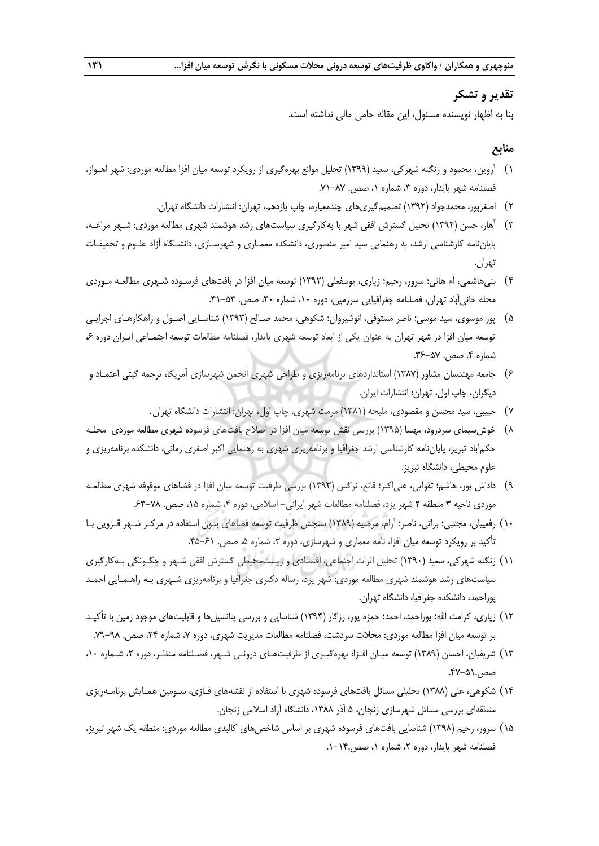### **تقدیر و تشکر**

بنا به اظهار نویسنده مسئول، این مقاله حامی مالی نداشته است.

## **منابع**

- 0) آروین، محمود و زنگنه شهرکی، سعید )0333( تحلیل موانع بهرهگیری از رویکرد توسعه میان افزا مطالعه موردی: شهر اهـواز، فصلنامه شهر پایدار، دوره ۳، شماره ۱، صص. ۸۷–۷۱.
	- 5) اصغرپور، محمدجواد )0335( تصمیمگیریهای چندمعیاره، چاپ یازدهم، تهران: انتشارات دانشگاه تهران.
- 3) آهار، حسن )0335( تحلیل گسترش افقی شهر با بهکارگیری سیاستهای رشد هوشمند شهری مطالعه موردی: شـهر مراغـه، پایاننامه کارشناسی ارشد، به رهنمایی سید امیر منصوری، دانشکده معمـاری و شهرسـازی، دانشـگاه آزاد علـوم و تحقیقـات تهران.
- 1) بنیهاشمی، ام هانی؛ سرور، رحیم؛ زیاری، یوسفعلی )0335( توسعه میان افزا در بافتهای فرسـوده شـهری مطالعـه مـوردی محله خانیآباد تهران، فصلنامه جغرافیایی سرزمین، دوره ،01 شماره ،11 صص. .10-21
- ۵) پور موسوی، سید موسی؛ ناصر مستوفی، انوشیروان؛ شکوهی، محمد صـالح (۱۳۹۳) شناسـایی اصـول و راهکارهـای اجرایـی توسعه میان افزا در شهر تهران به عنوان یکی از ابعاد توسعه شهری پایدار، فصلنامه مطالعات توسعه اجتمـاعی ایـران دوره ،1 شماره ۴، صص. ۵۷-۳۶.
- 1) جامعه مهندسان مشاور )0317( استانداردهای برنامهریزی و طراحی شهری انجمن شهرسازی آمریکا، ترجمه گیتی اعتمـاد و دیگران، چاپ اول، تهران: انتشارات ایران.
	- 7) حبیبی، سید محسن و مقصودی، ملیحه )0310( مرمت شهری، چاپ اول، تهران: انتشارات دانشگاه تهران.
- 1) خوشسیمای سردرود، مهسا )0332( بررسی نقش توسعه میان افزا در اصالح بافتهای فرسوده شهری مطالعه موردی محلـه حکمآباد تبریز، پایاننامه کارشناسی ارشد جغرافیا و برنامهریزی شهری به رهنمایی اکبر اصغری زمانی، دانشکده برنامهریزی و علوم محیطی، دانشگاه تبریز.
- 3) داداش پور، هاشم؛ تقوایی، علیاکبر؛ قانع، نرگس )0333( بررسی ظرفیت توسعه میان افزا در فضاهای موقوفه شهری مطالعـه موردی ناحیه ۳ منطقه ۲ شهر یزد، فصلنامه مطالعات شهر ایرانی- اسلامی، دوره ۴، شماره ۱۵، صص. ۲۸-۶۳
- 01) رفعییان، مجتبی؛ براتی، ناصر؛ آرام، مرضیه )0313( سنجش ظرفیت توسعه فضاهای بدون استفاده در مرکـز شـهر قـزوین بـا تأکید بر رویکرد توسعه میان افزا، نامه معماری و شهرسازی، دوره ۳، شماره ۵، صص. ۶۱–۴۵.
- 00) زنگنه شهرکی، سعید )0331( تحلیل اثرات اجتماعی، اقتصادی و زیستمحیطی گسترش افقی شـهر و چگـونگی بـهکارگیری سیاستهای رشد هوشمند شهری مطالعه موردی: شهر یزد، رساله دکتری جغرافیا و برنامهریزی شـهری بـه راهنمـایی احمـد پوراحمد، دانشکده جغرافیا، دانشگاه تهران.
- ١٢) زیاری، کرامت الله؛ پوراحمد، احمد؛ حمزه پور، رزگار (١٣٩۴) شناسایی و بررسی پتانسیلها و قابلیتهای موجود زمین با تأکیـد بر توسعه میان افزا مطالعه موردی: محلات سردشت، فصلنامه مطالعات مدیریت شهری، دوره ۷، شماره ۲۴، صص. ۹۸–۷۹.
- 03) شریفیان، احسان )0313( توسعه میـان افـزا: بهرهگیـری از ظرفیتهـای درونـی شـهر، فصـلنامه منظـر، دوره ،5 شـماره ،01 صص.٥١-۴۷.
- 01) شکوهی، علی )0311( تحلیلی مسائل بافتهای فرسوده شهری با استفاده از نقشههای فـازی، سـومین همـایش برنامـهریزی منطقهای بررسی مسائل شهرسازی زنجان، 2 آذر ،0311 دانشگاه آزاد اسالمی زنجان.
- 02) سرور، رحیم )0331( شناسایی بافتهای فرسوده شهری بر اساس شاخصهای کالبدی مطالعه موردی: منطقه یک شهر تبریز، فصلنامه شهر پایدار، دوره ،5 شماره ،0 صص.0-01.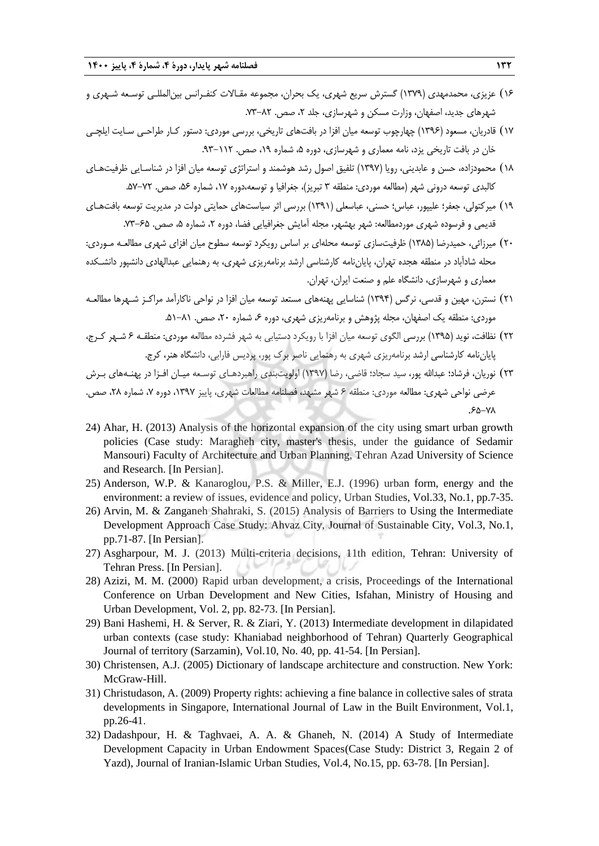- 01) عزیزی، محمدمهدی )0373( گسترش سریع شهری، یک بحران، مجموعه مقـاالت کنفـرانس بینالمللـی توسـعه شـهری و شهرهای جدید، اصفهان، وزارت مسکن و شهرسازی، جلد ۲، صص. ۸۲-۷۳.
- ١٧) قادریان، مسعود (١٣٩۶) چهارچوب توسعه میان افزا در بافتهای تاریخی، بررسی موردی: دستور کـار طراحـی سـایت ایلچـی خان در بافت تاریخی یزد، نامه معماری و شهرسازی، دوره ۵، شماره ۱۹، صص. ۱۱۲-۹۳.
- 01) محمودزاده، حسن و عابدینی، رویا )0337( تلفیق اصول رشد هوشمند و استراتژی توسعه میان افزا در شناسـایی ظرفیتهـای کالبدی توسعه درونی شهر (مطالعه موردی: منطقه ۳ تبریز)، جغرافیا و توسعه،دوره ۱۷، شماره ۵۶، صص. ۷۲–۵۷.
- 03) میرکتولی، جعفر؛ علیپور، عباس؛ حسنی، عباسعلی )0330( بررسی اثر سیاستهای حمایتی دولت در مدیریت توسعه بافتهـای قدیمی و فرسوده شهری موردمطالعه: شهر بهشهر، مجله آمایش جغرافیایی فضا، دوره ۲، شماره ۵، صص. ۶۵–۷۳.
- 51) میرزائی، حمیدرضا )0312( ظرفیتسازی توسعه محلهای بر اساس رویکرد توسعه سطوح میان افزای شهری مطالعـه مـوردی: محله شادآباد در منطقه هجده تهران، پایاننامه کارشناسی ارشد برنامهریزی شهری، به رهنمایی عبدالهادی دانشپور دانشـکده معماری و شهرسازی، دانشگاه علم و صنعت ایران، تهران.
- 50) نسترن، مهین و قدسی، نرگس )0331( شناسایی پهنههای مستعد توسعه میان افزا در نواحی ناکارآمد مراکـز شـهرها مطالعـه موردی: منطقه یک اصفهان، مجله پژوهش و برنامهریزی شهری، دوره ۶۰ شماره ۲۰، صص. ۸۱–۵۱.
- 55) نظافت، نوید )0332( بررسی الگوی توسعه میان افزا با رویکرد دستیابی به شهر فشرده مطالعه موردی: منطقـه 1 شـهر کـرج، پایاننامه کارشناسی ارشد برنامهریزی شهری به رهنمایی ناصر برك پور، پردیس فارابی، دانشگاه هنر، کرج.
- 53) نوریان، فرشاد؛ عبداهلل پور، سید سجاد؛ قاضی، رضا )0337( اولویتبندی راهبردهـای توسـعه میـان افـزا در پهنـههای بـرش عرضی نواحی شهری: مطالعه موردی: منطقه ۶ شهر مشهد، فصلنامه مطالعات شهری، پاییز ۱۳۹۷، دوره ۷، شماره ۲۸، صص. .12-71
- 24) Ahar, H. (2013) Analysis of the horizontal expansion of the city using smart urban growth policies (Case study: Maragheh city, master's thesis, under the guidance of Sedamir Mansouri) Faculty of Architecture and Urban Planning, Tehran Azad University of Science and Research. [In Persian].
- 25) Anderson, W.P. & Kanaroglou, P.S. & Miller, E.J. (1996) urban form, energy and the environment: a review of issues, evidence and policy, Urban Studies, Vol.33, No.1, pp.7-35.
- 26) Arvin, M. & Zanganeh Shahraki, S. (2015) Analysis of Barriers to Using the Intermediate Development Approach Case Study: Ahvaz City, Journal of Sustainable City, Vol.3, No.1, pp.71-87. [In Persian].
- 27) Asgharpour, M. J. (2013) Multi-criteria decisions, 11th edition, Tehran: University of Tehran Press. [In Persian].
- 28) Azizi, M. M. (2000) Rapid urban development, a crisis, Proceedings of the International Conference on Urban Development and New Cities, Isfahan, Ministry of Housing and Urban Development, Vol. 2, pp. 82-73. [In Persian].
- 29) Bani Hashemi, H. & Server, R. & Ziari, Y. (2013) Intermediate development in dilapidated urban contexts (case study: Khaniabad neighborhood of Tehran) Quarterly Geographical Journal of territory (Sarzamin), Vol.10, No. 40, pp. 41-54. [In Persian].
- 30) Christensen, A.J. (2005) Dictionary of landscape architecture and construction. New York: McGraw-Hill.
- 31) Christudason, A. (2009) Property rights: achieving a fine balance in collective sales of strata developments in Singapore, International Journal of Law in the Built Environment, Vol.1, pp.26-41.
- 32) Dadashpour, H. & Taghvaei, A. A. & Ghaneh, N. (2014) A Study of Intermediate Development Capacity in Urban Endowment Spaces(Case Study: District 3, Regain 2 of Yazd), Journal of Iranian-Islamic Urban Studies, Vol.4, No.15, pp. 63-78. [In Persian].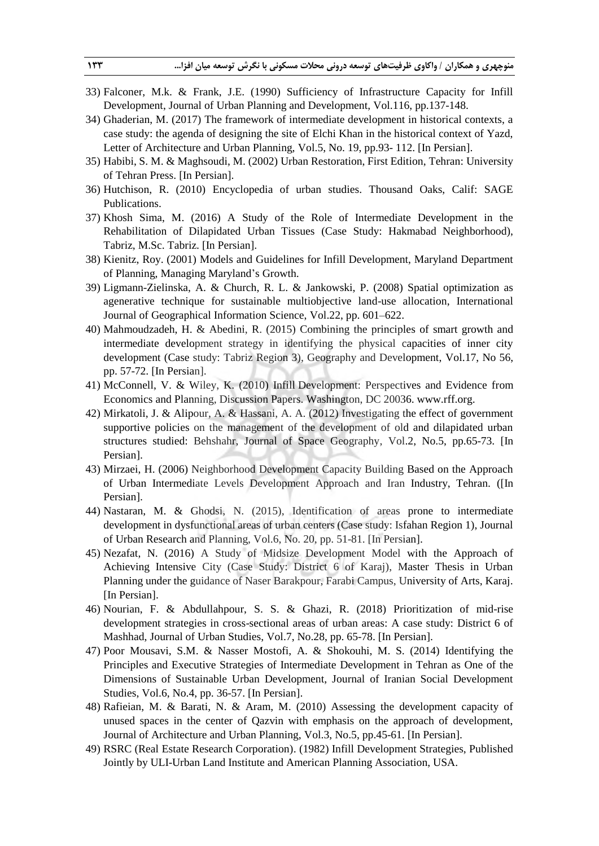- 33) Falconer, M.k. & Frank, J.E. (1990) Sufficiency of Infrastructure Capacity for Infill Development, Journal of Urban Planning and Development, Vol.116, pp.137-148.
- 34) Ghaderian, M. (2017) The framework of intermediate development in historical contexts, a case study: the agenda of designing the site of Elchi Khan in the historical context of Yazd, Letter of Architecture and Urban Planning, Vol.5, No. 19, pp.93- 112. [In Persian].
- 35) Habibi, S. M. & Maghsoudi, M. (2002) Urban Restoration, First Edition, Tehran: University of Tehran Press. [In Persian].
- 36) Hutchison, R. (2010) Encyclopedia of urban studies. Thousand Oaks, Calif: SAGE Publications.
- 37) Khosh Sima, M. (2016) A Study of the Role of Intermediate Development in the Rehabilitation of Dilapidated Urban Tissues (Case Study: Hakmabad Neighborhood), Tabriz, M.Sc. Tabriz. [In Persian].
- 38) Kienitz, Roy. (2001) Models and Guidelines for Infill Development, Maryland Department of Planning, Managing Maryland's Growth.
- 39) Ligmann-Zielinska, A. & Church, R. L. & Jankowski, P. (2008) Spatial optimization as agenerative technique for sustainable multiobjective land-use allocation, International Journal of Geographical Information Science, Vol.22, pp. 601–622.
- 40) Mahmoudzadeh, H. & Abedini, R. (2015) Combining the principles of smart growth and intermediate development strategy in identifying the physical capacities of inner city development (Case study: Tabriz Region 3), Geography and Development, Vol.17, No 56, pp. 57-72. [In Persian].
- 41) McConnell, V. & Wiley, K. (2010) Infill Development: Perspectives and Evidence from Economics and Planning, Discussion Papers. Washington, DC 20036. www.rff.org.
- 42) Mirkatoli, J. & Alipour, A. & Hassani, A. A. (2012) Investigating the effect of government supportive policies on the management of the development of old and dilapidated urban structures studied: Behshahr, Journal of Space Geography, Vol.2, No.5, pp.65-73. [In Persian].
- 43) Mirzaei, H. (2006) Neighborhood Development Capacity Building Based on the Approach of Urban Intermediate Levels Development Approach and Iran Industry, Tehran. ([In Persian].
- 44) Nastaran, M. & Ghodsi, N. (2015), Identification of areas prone to intermediate development in dysfunctional areas of urban centers (Case study: Isfahan Region 1), Journal of Urban Research and Planning, Vol.6, No. 20, pp. 51-81. [In Persian].
- 45) Nezafat, N. (2016) A Study of Midsize Development Model with the Approach of Achieving Intensive City (Case Study: District 6 of Karaj), Master Thesis in Urban Planning under the guidance of Naser Barakpour, Farabi Campus, University of Arts, Karaj. [In Persian].
- 46) Nourian, F. & Abdullahpour, S. S. & Ghazi, R. (2018) Prioritization of mid-rise development strategies in cross-sectional areas of urban areas: A case study: District 6 of Mashhad, Journal of Urban Studies, Vol.7, No.28, pp. 65-78. [In Persian].
- 47) Poor Mousavi, S.M. & Nasser Mostofi, A. & Shokouhi, M. S. (2014) Identifying the Principles and Executive Strategies of Intermediate Development in Tehran as One of the Dimensions of Sustainable Urban Development, Journal of Iranian Social Development Studies, Vol.6, No.4, pp. 36-57. [In Persian].
- 48) Rafieian, M. & Barati, N. & Aram, M. (2010) Assessing the development capacity of unused spaces in the center of Qazvin with emphasis on the approach of development, Journal of Architecture and Urban Planning, Vol.3, No.5, pp.45-61. [In Persian].
- 49) RSRC (Real Estate Research Corporation). (1982) Infill Development Strategies, Published Jointly by ULI-Urban Land Institute and American Planning Association, USA.